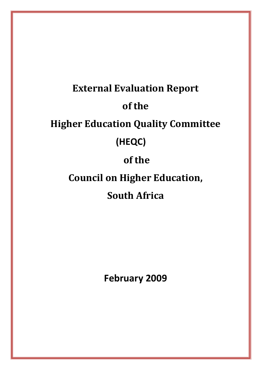# **External Evaluation Report of the Higher Education Quality Committee (HEQC) of the Council on Higher Education,**

## **South Africa**

**February 2009**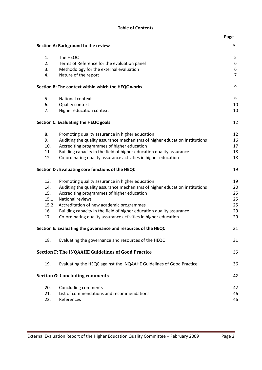#### **Table of Contents**

|      |                                                                            | Page             |
|------|----------------------------------------------------------------------------|------------------|
|      | <b>Section A: Background to the review</b>                                 | 5                |
|      |                                                                            |                  |
| 1.   | The HEQC                                                                   | 5                |
| 2.   | Terms of Reference for the evaluation panel                                | 6                |
| 3.   | Methodology for the external evaluation                                    | 6                |
| 4.   | Nature of the report                                                       | $\overline{7}$   |
|      | Section B: The context within which the HEQC works                         | $\boldsymbol{9}$ |
| 5.   | National context                                                           | 9                |
| 6.   | Quality context                                                            | 10               |
| 7.   | Higher education context                                                   | 10               |
|      | <b>Section C: Evaluating the HEQC goals</b>                                | 12               |
| 8.   | Promoting quality assurance in higher education                            | 12               |
| 9.   | Auditing the quality assurance mechanisms of higher education institutions | 16               |
| 10.  | Accrediting programmes of higher education                                 | 17               |
| 11.  | Building capacity in the field of higher education quality assurance       | 18               |
| 12.  | Co-ordinating quality assurance activities in higher education             | 18               |
|      | Section D : Evaluating core functions of the HEQC                          | 19               |
| 13.  | Promoting quality assurance in higher education                            | 19               |
| 14.  | Auditing the quality assurance mechanisms of higher education institutions | 20               |
| 15.  | Accrediting programmes of higher education                                 | 25               |
| 15.1 | National reviews                                                           | 25               |
| 15.2 | Accreditation of new academic programmes                                   | 25               |
| 16.  | Building capacity in the field of higher education quality assurance       | 29               |
| 17.  | Co-ordinating quality assurance activities in higher education             | 29               |
|      | Section E: Evaluating the governance and resources of the HEQC             | 31               |
| 18.  | Evaluating the governance and resources of the HEQC                        | 31               |
|      | <b>Section F: The INQAAHE Guidelines of Good Practice</b>                  | 35               |
| 19.  | Evaluating the HEQC against the INQAAHE Guidelines of Good Practice        | 36               |
|      | <b>Section G: Concluding comments</b>                                      | 42               |
| 20.  | Concluding comments                                                        | 42               |
| 21.  | List of commendations and recommendations                                  | 46               |
| 22.  | References                                                                 | 46               |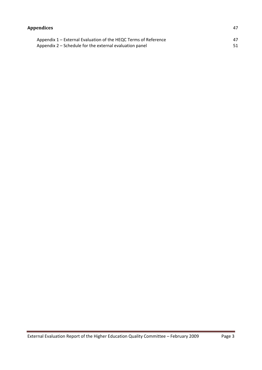| Appendices                                                      | 47 |
|-----------------------------------------------------------------|----|
| Appendix 1 – External Evaluation of the HEQC Terms of Reference | 47 |
| Appendix 2 – Schedule for the external evaluation panel         | 51 |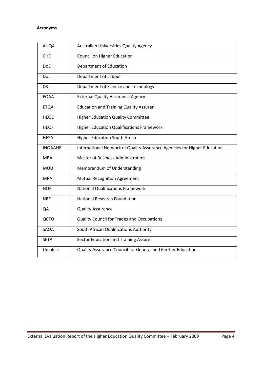#### **Acronyms**

| <b>AUQA</b>    | Australian Universities Quality Agency                                   |
|----------------|--------------------------------------------------------------------------|
| <b>CHE</b>     | Council on Higher Education                                              |
| DoE            | Department of Education                                                  |
| DoL            | Department of Labour                                                     |
| <b>DST</b>     | Department of Science and Technology                                     |
| <b>EQAA</b>    | <b>External Quality Assurance Agency</b>                                 |
| <b>ETQA</b>    | <b>Education and Training Quality Assurer</b>                            |
| <b>HEQC</b>    | <b>Higher Education Quality Committee</b>                                |
| <b>HEQF</b>    | <b>Higher Education Qualifications Framework</b>                         |
| <b>HESA</b>    | <b>Higher Education South Africa</b>                                     |
| <b>INQAAHE</b> | International Network of Quality Assurance Agencies for Higher Education |
| <b>MBA</b>     | <b>Master of Business Administration</b>                                 |
| MOU            | Memorandum of Understanding                                              |
| <b>MRA</b>     | <b>Mutual Recognition Agreement</b>                                      |
| <b>NQF</b>     | <b>National Qualifications Framework</b>                                 |
| <b>NRF</b>     | <b>National Research Foundation</b>                                      |
| QA             | <b>Quality Assurance</b>                                                 |
| QCTO           | Quality Council for Trades and Occupations                               |
| SAQA           | South African Qualifications Authority                                   |
| <b>SETA</b>    | Sector Education and Training Assurer                                    |
| Umalusi        | Quality Assurance Council for General and Further Education              |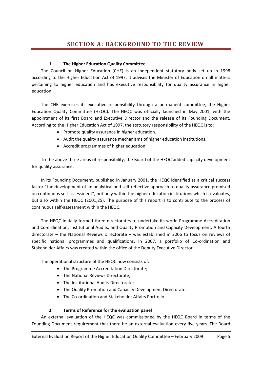## **SECTION A: BACKGROUND TO THE REVIEW**

#### **1. The Higher Education Quality Committee**

The Council on Higher Education (CHE) is an independent statutory body set up in 1998 according to the Higher Education Act of 1997. It advises the Minister of Education on all matters pertaining to higher education and has executive responsibility for quality assurance in higher education.

The CHE exercises its executive responsibility through a permanent committee, the Higher Education Quality Committee (HEQC). The HEQC was officially launched in May 2001, with the appointment of its first Board and Executive Director and the release of its Founding Document. According to the Higher Education Act of 1997, the statutory responsibility of the HEQC is to:

- Promote quality assurance in higher education.
- Audit the quality assurance mechanisms of higher education institutions.
- Accredit programmes of higher education.

To the above three areas of responsibility, the Board of the HEQC added capacity development for quality assurance.

In its Founding Document, published in January 2001, the HEQC identified as a critical success factor "the development of an analytical and self-reflective approach to quality assurance premised on continuous self‐assessment", not only within the higher education institutions which it evaluates, but also within the HEQC (2001,25). The purpose of this report is to contribute to the process of continuous self‐assessment within the HEQC.

The HEQC initially formed three directorates to undertake its work: Programme Accreditation and Co-ordination, Institutional Audits, and Quality Promotion and Capacity Development. A fourth directorate – the National Reviews Directorate – was established in 2006 to focus on reviews of specific national programmes and qualifications. In 2007, a portfolio of Co-ordination and Stakeholder Affairs was created within the office of the Deputy Executive Director.

The operational structure of the HEQC now consists of:

- The Programme Accreditation Directorate;
- The National Reviews Directorate:
- The Institutional Audits Directorate;
- The Quality Promotion and Capacity Development Directorate;
- The Co-ordination and Stakeholder Affairs Portfolio.

#### **2. Terms of Reference for the evaluation panel**

An external evaluation of the HEQC was commissioned by the HEQC Board in terms of the Founding Document requirement that there be an external evaluation every five years. The Board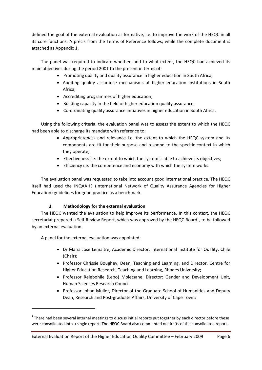defined the goal of the external evaluation as formative, i.e. to improve the work of the HEQC in all its core functions. A précis from the Terms of Reference follows; while the complete document is attached as Appendix 1.

The panel was required to indicate whether, and to what extent, the HEQC had achieved its main objectives during the period 2001 to the present in terms of:

- Promoting quality and quality assurance in higher education in South Africa;
- Auditing quality assurance mechanisms at higher education institutions in South Africa;
- Accrediting programmes of higher education;
- Building capacity in the field of higher education quality assurance;
- Co-ordinating quality assurance initiatives in higher education in South Africa.

Using the following criteria, the evaluation panel was to assess the extent to which the HEQC had been able to discharge its mandate with reference to:

- Appropriateness and relevance i.e. the extent to which the HEQC system and its components are fit for their purpose and respond to the specific context in which they operate;
- Effectiveness i.e. the extent to which the system is able to achieve its objectives;
- Efficiency i.e. the competence and economy with which the system works.

The evaluation panel was requested to take into account good international practice. The HEQC itself had used the INQAAHE (International Network of Quality Assurance Agencies for Higher Education) guidelines for good practice as a benchmark.

#### **3. Methodology for the external evaluation**

The HEQC wanted the evaluation to help improve its performance. In this context, the HEQC secretariat prepared a Self-Review Report, which was approved by the HEQC Board<sup>1</sup>, to be followed by an external evaluation.

A panel for the external evaluation was appointed:

<u> Andreas Andrew Maria (1989)</u>

- Dr Maria Jose Lemaitre, Academic Director, International Institute for Quality, Chile (Chair);
- Professor Chrissie Boughey, Dean, Teaching and Learning, and Director, Centre for Higher Education Research, Teaching and Learning, Rhodes University;
- Professor Relebohile (Lebo) Moletsane, Director: Gender and Development Unit, Human Sciences Research Council;
- Professor Johan Muller, Director of the Graduate School of Humanities and Deputy Dean, Research and Post-graduate Affairs, University of Cape Town;

 $1$  There had been several internal meetings to discuss initial reports put together by each director before these were consolidated into a single report. The HEQC Board also commented on drafts of the consolidated report.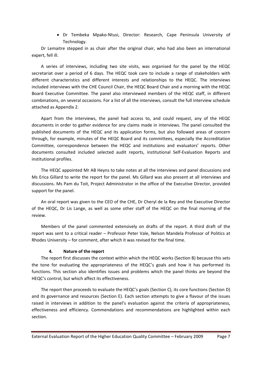● Dr Tembeka Mpako-Ntusi, Director: Research, Cape Peninsula University of Technology.

Dr Lemaitre stepped in as chair after the original chair, who had also been an international expert, fell ill.

A series of interviews, including two site visits, was organised for the panel by the HEQC secretariat over a period of 6 days. The HEQC took care to include a range of stakeholders with different characteristics and different interests and relationships to the HEQC. The interviews included interviews with the CHE Council Chair, the HEQC Board Chair and a morning with the HEQC Board Executive Committee. The panel also interviewed members of the HEQC staff, in different combinations, on several occasions. For a list of all the interviews, consult the full interview schedule attached as Appendix 2.

Apart from the interviews, the panel had access to, and could request, any of the HEQC documents in order to gather evidence for any claims made in interviews. The panel consulted the published documents of the HEQC and its application forms, but also followed areas of concern through, for example, minutes of the HEQC Board and its committees, especially the Accreditation Committee, correspondence between the HEQC and institutions and evaluators' reports. Other documents consulted included selected audit reports, institutional Self‐Evaluation Reports and institutional profiles.

The HEQC appointed Mr AB Heyns to take notes at all the interviews and panel discussions and Ms Erica Gillard to write the report for the panel. Ms Gillard was also present at all interviews and discussions. Ms Pam du Toit, Project Administrator in the office of the Executive Director, provided support for the panel.

An oral report was given to the CEO of the CHE, Dr Cheryl de la Rey and the Executive Director of the HEQC, Dr Lis Lange, as well as some other staff of the HEQC on the final morning of the review.

Members of the panel commented extensively on drafts of the report. A third draft of the report was sent to a critical reader – Professor Peter Vale, Nelson Mandela Professor of Politics at Rhodes University – for comment, after which it was revised for the final time.

#### **4. Nature of the report**

The report first discusses the context within which the HEQC works (Section B) because this sets the tone for evaluating the appropriateness of the HEQC's goals and how it has performed its functions. This section also identifies issues and problems which the panel thinks are beyond the HEQC's control, but which affect its effectiveness.

The report then proceeds to evaluate the HEQC's goals (Section C), its core functions (Section D) and its governance and resources (Section E). Each section attempts to give a flavour of the issues raised in interviews in addition to the panel's evaluation against the criteria of appropriateness, effectiveness and efficiency. Commendations and recommendations are highlighted within each section.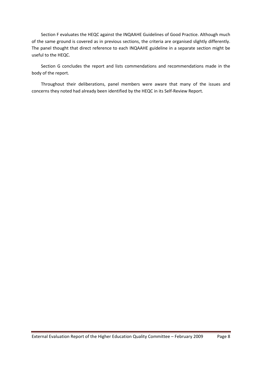Section F evaluates the HEQC against the INQAAHE Guidelines of Good Practice. Although much of the same ground is covered as in previous sections, the criteria are organised slightly differently. The panel thought that direct reference to each INQAAHE guideline in a separate section might be useful to the HEQC.

Section G concludes the report and lists commendations and recommendations made in the body of the report.

Throughout their deliberations, panel members were aware that many of the issues and concerns they noted had already been identified by the HEQC in its Self‐Review Report.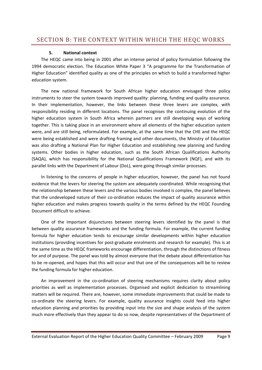#### **5. National context**

The HEQC came into being in 2001 after an intense period of policy formulation following the 1994 democratic election. The Education White Paper 3 "A programme for the Transformation of Higher Education" identified quality as one of the principles on which to build a transformed higher education system.

The new national framework for South African higher education envisaged three policy instruments to steer the system towards improved quality: planning, funding and quality assurance. In their implementation, however, the links between these three levers are complex, with responsibility residing in different locations. The panel recognises the continuing evolution of the higher education system in South Africa wherein partners are still developing ways of working together. This is taking place in an environment where all elements of the higher education system were, and are still being, reformulated. For example, at the same time that the CHE and the HEQC were being established and were drafting framing and other documents, the Ministry of Education was also drafting a National Plan for Higher Education and establishing new planning and funding systems. Other bodies in higher education, such as the South African Qualifications Authority (SAQA), which has responsibility for the National Qualifications Framework (NQF), and with its parallel links with the Department of Labour (DoL), were going through similar processes.

In listening to the concerns of people in higher education, however, the panel has not found evidence that the levers for steering the system are adequately coordinated. While recognising that the relationship between these levers and the various bodies involved is complex, the panel believes that the undeveloped nature of their co-ordination reduces the impact of quality assurance within higher education and makes progress towards quality in the terms defined by the HEQC Founding Document difficult to achieve.

One of the important disjunctures between steering levers identified by the panel is that between quality assurance frameworks and the funding formula. For example, the current funding formula for higher education tends to encourage similar developments within higher education institutions (providing incentives for post-graduate enrolments and research for example). This is at the same time as the HEQC frameworks encourage differentiation, through the distinctions of fitness for and of purpose. The panel was told by almost everyone that the debate about differentiation has to be re‐opened, and hopes that this will occur and that one of the consequences will be to review the funding formula for higher education.

An improvement in the co-ordination of steering mechanisms requires clarity about policy priorities as well as implementation processes. Organised and explicit dedication to streamlining matters will be required. There are, however, some immediate improvements that could be made to co-ordinate the steering levers. For example, quality assurance insights could feed into higher education planning and priorities by providing input into the size and shape analysis of the system much more effectively than they appear to do so now, despite representatives of the Department of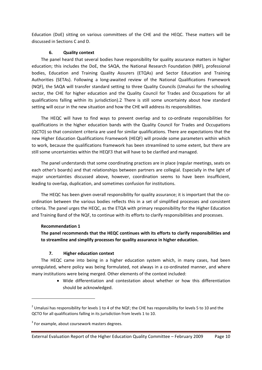Education (DoE) sitting on various committees of the CHE and the HEQC. These matters will be discussed in Sections C and D.

#### **6. Quality context**

The panel heard that several bodies have responsibility for quality assurance matters in higher education; this includes the DoE, the SAQA, the National Research Foundation (NRF), professional bodies, Education and Training Quality Assurers (ETQAs) and Sector Education and Training Authorities (SETAs). Following a long‐awaited review of the National Qualifications Framework (NQF), the SAQA will transfer standard setting to three Quality Councils (Umalusi for the schooling sector, the CHE for higher education and the Quality Council for Trades and Occupations for all qualifications falling within its jurisdiction).2 There is still some uncertainty about how standard setting will occur in the new situation and how the CHE will address its responsibilities.

The HEQC will have to find ways to prevent overlap and to co-ordinate responsibilities for qualifications in the higher education bands with the Quality Council for Trades and Occupations (QCTO) so that consistent criteria are used for similar qualifications. There are expectations that the new Higher Education Qualifications Framework (HEQF) will provide some parameters within which to work, because the qualifications framework has been streamlined to some extent, but there are still some uncertainties within the HEQF3 that will have to be clarified and managed.

The panel understands that some coordinating practices are in place (regular meetings, seats on each other's boards) and that relationships between partners are collegial. Especially in the light of major uncertainties discussed above, however, coordination seems to have been insufficient, leading to overlap, duplication, and sometimes confusion for institutions.

The HEQC has been given overall responsibility for quality assurance; it is important that the coordination between the various bodies reflects this in a set of simplified processes and consistent criteria. The panel urges the HEQC, as the ETQA with primary responsibility for the Higher Education and Training Band of the NQF, to continue with its efforts to clarify responsibilities and processes.

#### **Recommendation 1**

<u> Andreas Andrew Maria (1989)</u>

**The panel recommends that the HEQC continues with its efforts to clarify responsibilities and to streamline and simplify processes for quality assurance in higher education.**

#### **7. Higher education context**

The HEQC came into being in a higher education system which, in many cases, had been unregulated, where policy was being formulated, not always in a co-ordinated manner, and where many institutions were being merged. Other elements of the context included:

> Wide differentiation and contestation about whether or how this differentiation should be acknowledged.

 $2$  Umalusi has responsibility for levels 1 to 4 of the NQF; the CHE has responsibility for levels 5 to 10 and the QCTO for all qualifications falling in its jurisdiction from levels 1 to 10.

 $3$  For example, about coursework masters degrees.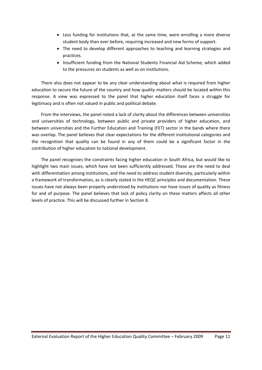- Less funding for institutions that, at the same time, were enrolling a more diverse student body than ever before, requiring increased and new forms of support.
- The need to develop different approaches to teaching and learning strategies and practices.
- Insufficient funding from the National Students Financial Aid Scheme, which added to the pressures on students as well as on institutions.

There also does not appear to be any clear understanding about what is required from higher education to secure the future of the country and how quality matters should be located within this response. A view was expressed to the panel that higher education itself faces a struggle for legitimacy and is often not valued in public and political debate.

From the interviews, the panel noted a lack of clarity about the differences between universities and universities of technology, between public and private providers of higher education, and between universities and the Further Education and Training (FET) sector in the bands where there was overlap. The panel believes that clear expectations for the different institutional categories and the recognition that quality can be found in any of them could be a significant factor in the contribution of higher education to national development.

The panel recognises the constraints facing higher education in South Africa, but would like to highlight two main issues, which have not been sufficiently addressed. These are the need to deal with differentiation among institutions, and the need to address student diversity, particularly within a framework of transformation, as is clearly stated in the HEQC principles and documentation. These issues have not always been properly understood by institutions nor have issues of quality as fitness for and of purpose. The panel believes that lack of policy clarity on these matters affects all other levels of practice. This will be discussed further in Section 8.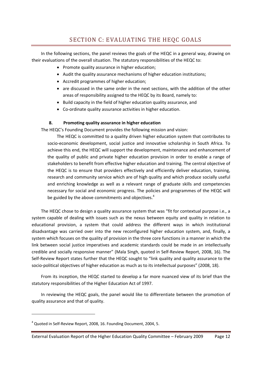## SECTION C: EVALUATING THE HEQC GOALS

In the following sections, the panel reviews the goals of the HEQC in a general way, drawing on their evaluations of the overall situation. The statutory responsibilities of the HEQC to:

- Promote quality assurance in higher education;
- Audit the quality assurance mechanisms of higher education institutions;
- Accredit programmes of higher education;
- are discussed in the same order in the next sections, with the addition of the other areas of responsibility assigned to the HEQC by its Board, namely to:
- Build capacity in the field of higher education quality assurance, and
- Co-ordinate quality assurance activities in higher education.

#### **8. Promoting quality assurance in higher education**

The HEQC's Founding Document provides the following mission and vision:

The HEQC is committed to a quality driven higher education system that contributes to socio‐economic development, social justice and innovative scholarship in South Africa. To achieve this end, the HEQC will support the development, maintenance and enhancement of the quality of public and private higher education provision in order to enable a range of stakeholders to benefit from effective higher education and training. The central objective of the HEQC is to ensure that providers effectively and efficiently deliver education, training, research and community service which are of high quality and which produce socially useful and enriching knowledge as well as a relevant range of graduate skills and competencies necessary for social and economic progress. The policies and programmes of the HEQC will be guided by the above commitments and objectives.<sup>4</sup>

The HEQC chose to design a quality assurance system that was "fit for contextual purpose i.e., a system capable of dealing with issues such as the nexus between equity and quality in relation to educational provision, a system that could address the different ways in which institutional disadvantage was carried over into the new reconfigured higher education system, and, finally, a system which focuses on the quality of provision in the three core functions in a manner in which the link between social justice imperatives and academic standards could be made in an intellectually credible and socially responsive manner" (Mala Singh, quoted in Self‐Review Report, 2008, 16). The Self-Review Report states further that the HEQC sought to "link quality and quality assurance to the socio-political objectives of higher education as much as to its intellectual purposes" (2008, 18).

From its inception, the HEQC started to develop a far more nuanced view of its brief than the statutory responsibilities of the Higher Education Act of 1997.

In reviewing the HEQC goals, the panel would like to differentiate between the promotion of quality assurance and that of quality.

<sup>&</sup>lt;sup>4</sup> Quoted in Self-Review Report, 2008, 16. Founding Document, 2004, 5.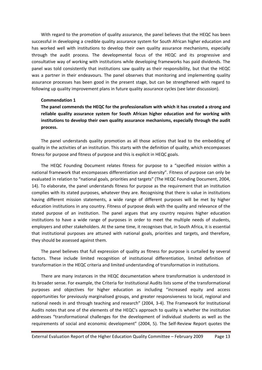With regard to the promotion of quality assurance, the panel believes that the HEQC has been successful in developing a credible quality assurance system for South African higher education and has worked well with institutions to develop their own quality assurance mechanisms, especially through the audit process. The developmental focus of the HEQC and its progressive and consultative way of working with institutions while developing frameworks has paid dividends. The panel was told consistently that institutions saw quality as their responsibility, but that the HEQC was a partner in their endeavours. The panel observes that monitoring and implementing quality assurance processes has been good in the present stage, but can be strengthened with regard to following up quality improvement plans in future quality assurance cycles (see later discussion).

#### **Commendation 1**

**The panel commends the HEQC for the professionalism with which it has created a strong and reliable quality assurance system for South African higher education and for working with institutions to develop their own quality assurance mechanisms, especially through the audit process.**

The panel understands quality promotion as all those actions that lead to the embedding of quality in the activities of an institution. This starts with the definition of quality, which encompasses fitness for purpose and fitness of purpose and this is explicit in HEQC goals.

The HEQC Founding Document relates fitness for purpose to a "specified mission within a national framework that encompasses differentiation and diversity". Fitness of purpose can only be evaluated in relation to "national goals, priorities and targets" (The HEQC Founding Document, 2004, 14). To elaborate, the panel understands fitness for purpose as the requirement that an institution complies with its stated purposes, whatever they are. Recognising that there is value in institutions having different mission statements, a wide range of different purposes will be met by higher education institutions in any country. Fitness of purpose deals with the quality and relevance of the stated purpose of an institution. The panel argues that any country requires higher education institutions to have a wide range of purposes in order to meet the multiple needs of students, employers and other stakeholders. At the same time, it recognises that, in South Africa, it is essential that institutional purposes are attuned with national goals, priorities and targets, and therefore, they should be assessed against them.

The panel believes that full expression of quality as fitness for purpose is curtailed by several factors. These include limited recognition of institutional differentiation, limited definition of transformation in the HEQC criteria and limited understanding of transformation in institutions.

There are many instances in the HEQC documentation where transformation is understood in its broader sense. For example, the Criteria for Institutional Audits lists some of the transformational purposes and objectives for higher education as including "increased equity and access opportunities for previously marginalised groups, and greater responsiveness to local, regional and national needs in and through teaching and research" (2004, 3‐4). The Framework for Institutional Audits notes that one of the elements of the HEQC's approach to quality is whether the institution addresses "transformational challenges for the development of individual students as well as the requirements of social and economic development" (2004, 5). The Self‐Review Report quotes the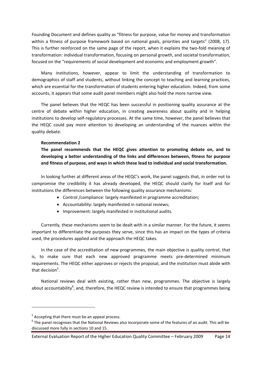Founding Document and defines quality as "fitness for purpose, value for money and transformation within a fitness of purpose framework based on national goals, priorities and targets" (2008, 17). This is further reinforced on the same page of the report, when it explains the two-fold meaning of transformation: individual transformation, focusing on personal growth, and societal transformation, focused on the "requirements of social development and economic and employment growth".

Many institutions, however, appear to limit the understanding of transformation to demographics of staff and students, without linking the concept to teaching and learning practices, which are essential for the transformation of students entering higher education. Indeed, from some accounts, it appears that some audit panel members might also hold the more narrow view.

The panel believes that the HEQC has been successful in positioning quality assurance at the centre of debate within higher education, in creating awareness about quality and in helping institutions to develop self‐regulatory processes. At the same time, however, the panel believes that the HEQC could pay more attention to developing an understanding of the nuances within the quality debate.

#### **Recommendation 2**

**The panel recommends that the HEQC gives attention to promoting debate on, and to developing a better understanding of the links and differences between, fitness for purpose and fitness of purpose, and ways in which these lead to individual and social transformation.** 

In looking further at different areas of the HEQC's work, the panel suggests that, in order not to compromise the credibility it has already developed, the HEQC should clarify for itself and for institutions the differences between the following quality assurance mechanisms:

- Control /compliance: largely manifested in programme accreditation;
- Accountability: largely manifested in national reviews;
- Improvement: largely manifested in institutional audits.

Currently, these mechanisms seem to be dealt with in a similar manner. For the future, it seems important to differentiate the purposes they serve, since this has an impact on the types of criteria used, the procedures applied and the approach the HEQC takes.

In the case of the accreditation of new programmes, the main objective is quality control, that is, to make sure that each new approved programme meets pre‐determined minimum requirements. The HEQC either approves or rejects the proposal, and the institution must abide with that decision<sup>5</sup>.

National reviews deal with existing, rather than new, programmes. The objective is largely about accountability<sup>6</sup>, and, therefore, the HEQC review is intended to ensure that programmes being

<u> Andrew Maria (1989)</u>

 $5$  Accepting that there must be an appeal process.

 $6$  The panel recognises that the National Reviews also incorporate some of the features of an audit. This will be discussed more fully in sections 10 and 15.

External Evaluation Report of the Higher Education Quality Committee – February 2009 Page 14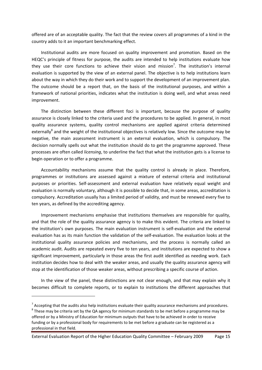offered are of an acceptable quality. The fact that the review covers all programmes of a kind in the country adds to it an important benchmarking effect.

Institutional audits are more focused on quality improvement and promotion. Based on the HEQC's principle of fitness for purpose, the audits are intended to help institutions evaluate how they use their core functions to achieve their vision and mission<sup>7</sup>. The institution's internal evaluation is supported by the view of an external panel. The objective is to help institutions learn about the way in which they do their work and to support the development of an improvement plan. The outcome should be a report that, on the basis of the institutional purposes, and within a framework of national priorities, indicates what the institution is doing well, and what areas need improvement.

The distinction between these different foci is important, because the purpose of quality assurance is closely linked to the criteria used and the procedures to be applied. In general, in most quality assurance systems, quality control mechanisms are applied against criteria determined externally<sup>8</sup> and the weight of the institutional objectives is relatively low. Since the outcome may be negative, the main assessment instrument is an external evaluation, which is compulsory. The decision normally spells out what the institution should do to get the programme approved. These processes are often called *licensing*, to underline the fact that what the institution gets is a license to begin operation or to offer a programme.

Accountability mechanisms assume that the quality control is already in place. Therefore, programmes or institutions are assessed against a mixture of external criteria and institutional purposes or priorities. Self‐assessment and external evaluation have relatively equal weight and evaluation is normally voluntary, although it is possible to decide that, in some areas, accreditation is compulsory. Accreditation usually has a limited period of validity, and must be renewed every five to ten years, as defined by the accrediting agency.

Improvement mechanisms emphasise that institutions themselves are responsible for quality, and that the role of the quality assurance agency is to make this evident. The criteria are linked to the institution's own purposes. The main evaluation instrument is self‐evaluation and the external evaluation has as its main function the validation of the self‐evaluation. The evaluation looks at the institutional quality assurance policies and mechanisms, and the process is normally called an academic audit. Audits are repeated every five to ten years, and institutions are expected to show a significant improvement, particularly in those areas the first audit identified as needing work. Each institution decides how to deal with the weaker areas, and usually the quality assurance agency will stop at the identification of those weaker areas, without prescribing a specific course of action.

In the view of the panel, these distinctions are not clear enough, and that may explain why it becomes difficult to complete reports, or to explain to institutions the different approaches that

 $<sup>7</sup>$  Accepting that the audits also help institutions evaluate their quality assurance mechanisms and procedures.</sup>

 $8$  These may be criteria set by the QA agency for minimum standards to be met before a programme may be offered or by a Ministry of Education for minimum outputs that have to be achieved in order to receive funding or by a professional body for requirements to be met before a graduate can be registered as a professional in that field.

External Evaluation Report of the Higher Education Quality Committee – February 2009 Page 15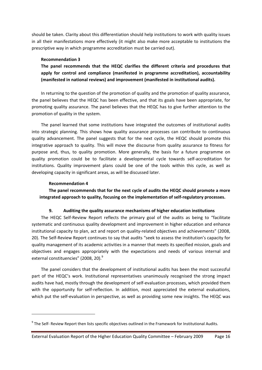should be taken. Clarity about this differentiation should help institutions to work with quality issues in all their manifestations more effectively (it might also make more acceptable to institutions the prescriptive way in which programme accreditation must be carried out).

#### **Recommendation 3**

**The panel recommends that the HEQC clarifies the different criteria and procedures that apply for control and compliance (manifested in programme accreditation), accountability (manifested in national reviews) and improvement (manifested in institutional audits).**

In returning to the question of the promotion of quality and the promotion of quality assurance, the panel believes that the HEQC has been effective, and that its goals have been appropriate, for promoting quality assurance. The panel believes that the HEQC has to give further attention to the promotion of quality in the system.

The panel learned that some institutions have integrated the outcomes of institutional audits into strategic planning. This shows how quality assurance processes can contribute to continuous quality advancement. The panel suggests that for the next cycle, the HEQC should promote this integrative approach to quality. This will move the discourse from quality assurance to fitness for purpose and, thus, to quality promotion. More generally, the basis for a future programme on quality promotion could be to facilitate a developmental cycle towards self‐accreditation for institutions. Quality improvement plans could be one of the tools within this cycle, as well as developing capacity in significant areas, as will be discussed later.

#### **Recommendation 4**

**The panel recommends that for the next cycle of audits the HEQC should promote a more integrated approach to quality, focusing on the implementation of self‐regulatory processes.** 

#### **9. Auditing the quality assurance mechanisms of higher education institutions**

The HEQC Self‐Review Report reflects the primary goal of the audits as being to "facilitate systematic and continuous quality development and improvement in higher education and enhance institutional capacity to plan, act and report on quality-related objectives and achievements" (2008, 20). The Self‐Review Report continues to say that audits "seek to assess the institution's capacity for quality management of its academic activities in a manner that meets its specified mission, goals and objectives and engages appropriately with the expectations and needs of various internal and external constituencies" (2008, 20).<sup>9</sup>

The panel considers that the development of institutional audits has been the most successful part of the HEQC's work. Institutional representatives unanimously recognised the strong impact audits have had, mostly through the development of self‐evaluation processes, which provided them with the opportunity for self-reflection. In addition, most appreciated the external evaluations, which put the self-evaluation in perspective, as well as providing some new insights. The HEQC was

<sup>&</sup>lt;sup>9</sup> The Self- Review Report then lists specific objectives outlined in the Framework for Institutional Audits.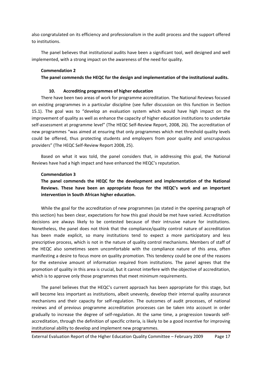also congratulated on its efficiency and professionalism in the audit process and the support offered to institutions.

The panel believes that institutional audits have been a significant tool, well designed and well implemented, with a strong impact on the awareness of the need for quality.

#### **Commendation 2**

#### **The panel commends the HEQC for the design and implementation of the institutional audits.**

#### **10. Accrediting programmes of higher education**

There have been two areas of work for programme accreditation. The National Reviews focused on existing programmes in a particular discipline (see fuller discussion on this function in Section 15.1). The goal was to "develop an evaluation system which would have high impact on the improvement of quality as well as enhance the capacity of higher education institutions to undertake self-assessment at programme level" (The HEQC Self-Review Report, 2008, 26). The accreditation of new programmes "was aimed at ensuring that only programmes which met threshold quality levels could be offered, thus protecting students and employers from poor quality and unscrupulous providers" (The HEQC Self‐Review Report 2008, 25).

Based on what it was told, the panel considers that, in addressing this goal, the National Reviews have had a high impact and have enhanced the HEQC's reputation.

#### **Commendation 3**

**The panel commends the HEQC for the development and implementation of the National Reviews. These have been an appropriate focus for the HEQC's work and an important intervention in South African higher education.**

While the goal for the accreditation of new programmes (as stated in the opening paragraph of this section) has been clear, expectations for how this goal should be met have varied. Accreditation decisions are always likely to be contested because of their intrusive nature for institutions. Nonetheless, the panel does not think that the compliance/quality control nature of accreditation has been made explicit, so many institutions tend to expect a more participatory and less prescriptive process, which is not in the nature of quality control mechanisms. Members of staff of the HEQC also sometimes seem uncomfortable with the compliance nature of this area, often manifesting a desire to focus more on quality promotion. This tendency could be one of the reasons for the extensive amount of information required from institutions. The panel agrees that the promotion of quality in this area is crucial, but it cannot interfere with the objective of accreditation, which is to approve only those programmes that meet minimum requirements.

The panel believes that the HEQC's current approach has been appropriate for this stage, but will become less important as institutions, albeit unevenly, develop their internal quality assurance mechanisms and their capacity for self‐regulation. The outcomes of audit processes, of national reviews and of previous programme accreditation processes can be taken into account in order gradually to increase the degree of self-regulation. At the same time, a progression towards selfaccreditation, through the definition of specific criteria, is likely to be a good incentive for improving institutional ability to develop and implement new programmes.

External Evaluation Report of the Higher Education Quality Committee – February 2009 Page 17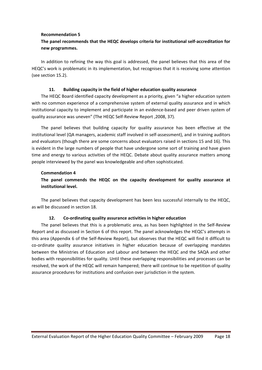#### **Recommendation 5**

#### **The panel recommends that the HEQC develops criteria for institutional self‐accreditation for new programmes.**

In addition to refining the way this goal is addressed, the panel believes that this area of the HEQC's work is problematic in its implementation, but recognises that it is receiving some attention (see section 15.2).

#### **11. Building capacity in the field of higher education quality assurance**

The HEQC Board identified capacity development as a priority, given "a higher education system with no common experience of a comprehensive system of external quality assurance and in which institutional capacity to implement and participate in an evidence-based and peer driven system of quality assurance was uneven" (The HEQC Self‐Review Report ,2008, 37).

The panel believes that building capacity for quality assurance has been effective at the institutional level (QA managers, academic staff involved in self‐assessment), and in training auditors and evaluators (though there are some concerns about evaluators raised in sections 15 and 16). This is evident in the large numbers of people that have undergone some sort of training and have given time and energy to various activities of the HEQC. Debate about quality assurance matters among people interviewed by the panel was knowledgeable and often sophisticated.

#### **Commendation 4**

#### **The panel commends the HEQC on the capacity development for quality assurance at institutional level.**

The panel believes that capacity development has been less successful internally to the HEQC, as will be discussed in section 18.

#### **12. Co‐ordinating quality assurance activities in higher education**

The panel believes that this is a problematic area, as has been highlighted in the Self‐Review Report and as discussed in Section 6 of this report. The panel acknowledges the HEQC's attempts in this area (Appendix 6 of the Self‐Review Report), but observes that the HEQC will find it difficult to co‐ordinate quality assurance initiatives in higher education because of overlapping mandates between the Ministries of Education and Labour and between the HEQC and the SAQA and other bodies with responsibilities for quality. Until these overlapping responsibilities and processes can be resolved, the work of the HEQC will remain hampered; there will continue to be repetition of quality assurance procedures for institutions and confusion over jurisdiction in the system.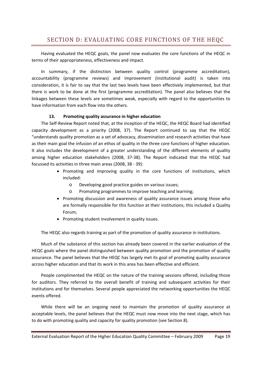### SECTION D: EVALUATING CORE FUNCTIONS OF THE HEQC

Having evaluated the HEQC goals, the panel now evaluates the core functions of the HEQC in terms of their appropriateness, effectiveness and impact.

In summary, if the distinction between quality control (programme accreditation), accountability (programme reviews) and improvement (institutional audit) is taken into consideration, it is fair to say that the last two levels have been effectively implemented, but that there is work to be done at the first (programme accreditation). The panel also believes that the linkages between these levels are sometimes weak, especially with regard to the opportunities to have information from each flow into the others.

#### **13. Promoting quality assurance in higher education**

The Self‐Review Report noted that, at the inception of the HEQC, the HEQC Board had identified capacity development as a priority (2008, 37). The Report continued to say that the HEQC "understands quality promotion as a set of advocacy, dissemination and research activities that have as their main goal the infusion of an ethos of quality in the three core functions of higher education. It also includes the development of a greater understanding of the different elements of quality among higher education stakeholders (2008, 37‐38). The Report indicated that the HEQC had focussed its activities in three main areas (2008, 38 ‐ 39):

- Promoting and improving quality in the core functions of institutions, which included:
	- o Developing good practice guides on various issues;
	- o Promoting programmes to improve teaching and learning;
- Promoting discussion and awareness of quality assurance issues among those who are formally responsible for this function at their institutions; this included a Quality Forum;
- Promoting student involvement in quality issues.

The HEQC also regards training as part of the promotion of quality assurance in institutions.

Much of the substance of this section has already been covered in the earlier evaluation of the HEQC goals where the panel distinguished between quality promotion and the promotion of quality assurance. The panel believes that the HEQC has largely met its goal of promoting quality assurance across higher education and that its work in this area has been effective and efficient.

People complimented the HEQC on the nature of the training sessions offered, including those for auditors. They referred to the overall benefit of training and subsequent activities for their institutions and for themselves. Several people appreciated the networking opportunities the HEQC events offered.

While there will be an ongoing need to maintain the promotion of quality assurance at acceptable levels, the panel believes that the HEQC must now move into the next stage, which has to do with promoting quality and capacity for quality promotion (see Section 8).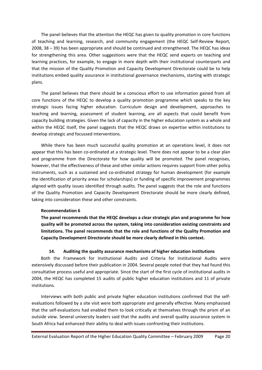The panel believes that the attention the HEQC has given to quality promotion in core functions of teaching and learning, research, and community engagement (the HEQC Self‐Review Report, 2008, 38 – 39) has been appropriate and should be continued and strengthened. The HEQC has ideas for strengthening this area. Other suggestions were that the HEQC send experts on teaching and learning practices, for example, to engage in more depth with their institutional counterparts and that the mission of the Quality Promotion and Capacity Development Directorate could be to help institutions embed quality assurance in institutional governance mechanisms, starting with strategic plans.

The panel believes that there should be a conscious effort to use information gained from all core functions of the HEQC to develop a quality promotion programme which speaks to the key strategic issues facing higher education. Curriculum design and development, approaches to teaching and learning, assessment of student learning, are all aspects that could benefit from capacity building strategies. Given the lack of capacity in the higher education system as a whole and within the HEQC itself, the panel suggests that the HEQC draws on expertise within institutions to develop strategic and focussed interventions.

While there has been much successful quality promotion at an operations level, it does not appear that this has been co-ordinated at a strategic level. There does not appear to be a clear plan and programme from the Directorate for how quality will be promoted. The panel recognises, however, that the effectiveness of these and other similar actions requires support from other policy instruments, such as a sustained and co-ordinated strategy for human development (for example the identification of priority areas for scholarships) or funding of specific improvement programmes aligned with quality issues identified through audits. The panel suggests that the role and functions of the Quality Promotion and Capacity Development Directorate should be more clearly defined, taking into consideration these and other constraints.

#### **Recommendation 6**

**The panel recommends that the HEQC develops a clear strategic plan and programme for how quality will be promoted across the system, taking into consideration existing constraints and limitations. The panel recommends that the role and functions of the Quality Promotion and Capacity Development Directorate should be more clearly defined in this context.**

#### **14. Auditing the quality assurance mechanisms of higher education institutions**

Both the Framework for Institutional Audits and Criteria for Institutional Audits were extensively discussed before their publication in 2004. Several people noted that they had found this consultative process useful and appropriate. Since the start of the first cycle of institutional audits in 2004, the HEQC has completed 15 audits of public higher education institutions and 11 of private institutions.

Interviews with both public and private higher education institutions confirmed that the self‐ evaluations followed by a site visit were both appropriate and generally effective. Many emphasised that the self‐evaluations had enabled them to look critically at themselves through the prism of an outside view. Several university leaders said that the audits and overall quality assurance system in South Africa had enhanced their ability to deal with issues confronting their institutions.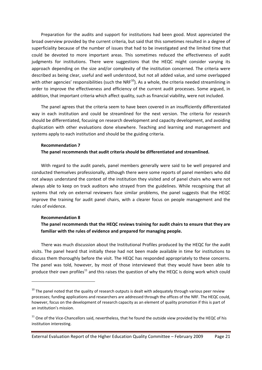Preparation for the audits and support for institutions had been good. Most appreciated the broad overview provided by the current criteria, but said that this sometimes resulted in a degree of superficiality because of the number of issues that had to be investigated and the limited time that could be devoted to more important areas. This sometimes reduced the effectiveness of audit judgments for institutions. There were suggestions that the HEQC might consider varying its approach depending on the size and/or complexity of the institution concerned. The criteria were described as being clear, useful and well understood, but not all added value, and some overlapped with other agencies' responsibilities (such the NRF $^{10}$ ). As a whole, the criteria needed streamlining in order to improve the effectiveness and efficiency of the current audit processes. Some argued, in addition, that important criteria which affect quality, such as financial viability, were not included.

The panel agrees that the criteria seem to have been covered in an insufficiently differentiated way in each institution and could be streamlined for the next version. The criteria for research should be differentiated, focusing on research development and capacity development, and avoiding duplication with other evaluations done elsewhere. Teaching and learning and management and systems apply to each institution and should be the guiding criteria.

#### **Recommendation 7**

#### **The panel recommends that audit criteria should be differentiated and streamlined.**

With regard to the audit panels, panel members generally were said to be well prepared and conducted themselves professionally, although there were some reports of panel members who did not always understand the context of the institution they visited and of panel chairs who were not always able to keep on track auditors who strayed from the guidelines. While recognising that all systems that rely on external reviewers face similar problems, the panel suggests that the HEQC improve the training for audit panel chairs, with a clearer focus on people management and the rules of evidence.

#### **Recommendation 8**

<u> Andrew Maria (1989)</u>

#### **The panel recommends that the HEQC reviews training for audit chairs to ensure that they are familiar with the rules of evidence and prepared for managing people.**

There was much discussion about the Institutional Profiles produced by the HEQC for the audit visits. The panel heard that initially these had not been made available in time for institutions to discuss them thoroughly before the visit. The HEQC has responded appropriately to these concerns. The panel was told, however, by most of those interviewed that they would have been able to produce their own profiles<sup>11</sup> and this raises the question of why the HEQC is doing work which could

 $10$  The panel noted that the quality of research outputs is dealt with adequately through various peer review processes; funding applications and researchers are addressed through the offices of the NRF. The HEQC could, however, focus on the development of research capacity as an element of quality promotion if this is part of an institution's mission.

 $11$  One of the Vice-Chancellors said, nevertheless, that he found the outside view provided by the HEQC of his institution interesting.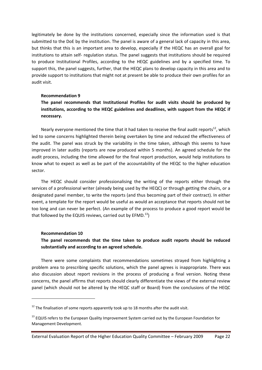legitimately be done by the institutions concerned, especially since the information used is that submitted to the DoE by the institution. The panel is aware of a general lack of capacity in this area, but thinks that this is an important area to develop, especially if the HEQC has an overall goal for institutions to attain self‐ regulation status. The panel suggests that institutions should be required to produce Institutional Profiles, according to the HEQC guidelines and by a specified time. To support this, the panel suggests, further, that the HEQC plans to develop capacity in this area and to provide support to institutions that might not at present be able to produce their own profiles for an audit visit.

#### **Recommendation 9**

**The panel recommends that Institutional Profiles for audit visits should be produced by institutions, according to the HEQC guidelines and deadlines, with support from the HEQC if necessary.**

Nearly everyone mentioned the time that it had taken to receive the final audit reports<sup>12</sup>, which led to some concerns highlighted therein being overtaken by time and reduced the effectiveness of the audit. The panel was struck by the variability in the time taken, although this seems to have improved in later audits (reports are now produced within 5 months). An agreed schedule for the audit process, including the time allowed for the final report production, would help institutions to know what to expect as well as be part of the accountability of the HEQC to the higher education sector.

The HEQC should consider professionalising the writing of the reports either through the services of a professional writer (already being used by the HEQC) or through getting the chairs, or a designated panel member, to write the reports (and thus becoming part of their contract). In either event, a template for the report would be useful as would an acceptance that reports should not be too long and can never be perfect. (An example of the process to produce a good report would be that followed by the EQUIS reviews, carried out by  $EFMD.<sup>13</sup>$ )

#### **Recommendation 10**

<u> Andreas Andrew Maria (1989)</u>

#### **The panel recommends that the time taken to produce audit reports should be reduced substantially and according to an agreed schedule.**

There were some complaints that recommendations sometimes strayed from highlighting a problem area to prescribing specific solutions, which the panel agrees is inappropriate. There was also discussion about report revisions in the process of producing a final version. Noting these concerns, the panel affirms that reports should clearly differentiate the views of the external review panel (which should not be altered by the HEQC staff or Board) from the conclusions of the HEQC

 $12$  The finalisation of some reports apparently took up to 18 months after the audit visit.

<sup>&</sup>lt;sup>13</sup> EQUIS refers to the European Quality Improvement System carried out by the European Foundation for Management Development.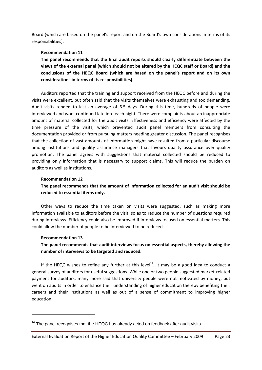Board (which are based on the panel's report and on the Board's own considerations in terms of its responsibilities).

#### **Recommendation 11**

**The panel recommends that the final audit reports should clearly differentiate between the views of the external panel (which should not be altered by the HEQC staff or Board) and the conclusions of the HEQC Board (which are based on the panel's report and on its own considerations in terms of its responsibilities).**

Auditors reported that the training and support received from the HEQC before and during the visits were excellent, but often said that the visits themselves were exhausting and too demanding. Audit visits tended to last an average of 6.5 days. During this time, hundreds of people were interviewed and work continued late into each night. There were complaints about an inappropriate amount of material collected for the audit visits. Effectiveness and efficiency were affected by the time pressure of the visits, which prevented audit panel members from consulting the documentation provided or from pursuing matters needing greater discussion. The panel recognises that the collection of vast amounts of information might have resulted from a particular discourse among institutions and quality assurance managers that favours quality assurance over quality promotion. The panel agrees with suggestions that material collected should be reduced to providing only information that is necessary to support claims. This will reduce the burden on auditors as well as institutions.

#### **Recommendation 12**

#### **The panel recommends that the amount of information collected for an audit visit should be reduced to essential items only.**

Other ways to reduce the time taken on visits were suggested, such as making more information available to auditors before the visit, so as to reduce the number of questions required during interviews. Efficiency could also be improved if interviews focused on essential matters. This could allow the number of people to be interviewed to be reduced.

#### **Recommendation 13**

#### **The panel recommends that audit interviews focus on essential aspects, thereby allowing the number of interviews to be targeted and reduced.**

If the HEQC wishes to refine any further at this level<sup>14</sup>, it may be a good idea to conduct a general survey of auditors for useful suggestions. While one or two people suggested market‐related payment for auditors, many more said that university people were not motivated by money, but went on audits in order to enhance their understanding of higher education thereby benefiting their careers and their institutions as well as out of a sense of commitment to improving higher education.

 $14$  The panel recognises that the HEQC has already acted on feedback after audit visits.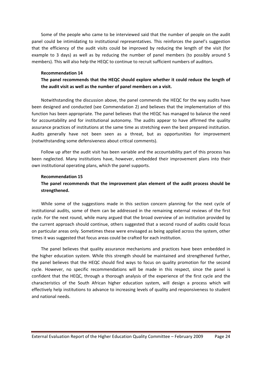Some of the people who came to be interviewed said that the number of people on the audit panel could be intimidating to institutional representatives. This reinforces the panel's suggestion that the efficiency of the audit visits could be improved by reducing the length of the visit (for example to 3 days) as well as by reducing the number of panel members (to possibly around 5 members). This will also help the HEQC to continue to recruit sufficient numbers of auditors.

#### **Recommendation 14**

**The panel recommends that the HEQC should explore whether it could reduce the length of the audit visit as well as the number of panel members on a visit.**

Notwithstanding the discussion above, the panel commends the HEQC for the way audits have been designed and conducted (see Commendation 2) and believes that the implementation of this function has been appropriate. The panel believes that the HEQC has managed to balance the need for accountability and for institutional autonomy. The audits appear to have affirmed the quality assurance practices of institutions at the same time as stretching even the best prepared institution. Audits generally have not been seen as a threat, but as opportunities for improvement (notwithstanding some defensiveness about critical comments).

Follow up after the audit visit has been variable and the accountability part of this process has been neglected. Many institutions have, however, embedded their improvement plans into their own institutional operating plans, which the panel supports.

#### **Recommendation 15**

#### **The panel recommends that the improvement plan element of the audit process should be strengthened.**

While some of the suggestions made in this section concern planning for the next cycle of institutional audits, some of them can be addressed in the remaining external reviews of the first cycle. For the next round, while many argued that the broad overview of an institution provided by the current approach should continue, others suggested that a second round of audits could focus on particular areas only. Sometimes these were envisaged as being applied across the system, other times it was suggested that focus areas could be crafted for each institution.

The panel believes that quality assurance mechanisms and practices have been embedded in the higher education system. While this strength should be maintained and strengthened further, the panel believes that the HEQC should find ways to focus on quality promotion for the second cycle. However, no specific recommendations will be made in this respect, since the panel is confident that the HEQC, through a thorough analysis of the experience of the first cycle and the characteristics of the South African higher education system, will design a process which will effectively help institutions to advance to increasing levels of quality and responsiveness to student and national needs.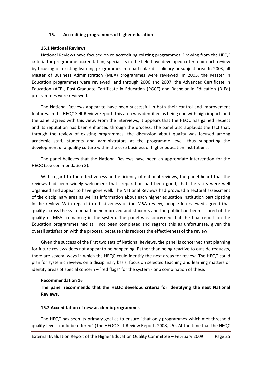#### **15. Accrediting programmes of higher education**

#### **15.1 National Reviews**

National Reviews have focused on re‐accrediting existing programmes. Drawing from the HEQC criteria for programme accreditation, specialists in the field have developed criteria for each review by focusing on existing learning programmes in a particular disciplinary or subject area. In 2003, all Master of Business Administration (MBA) programmes were reviewed; in 2005, the Master in Education programmes were reviewed; and through 2006 and 2007, the Advanced Certificate in Education (ACE), Post‐Graduate Certificate in Education (PGCE) and Bachelor in Education (B Ed) programmes were reviewed.

The National Reviews appear to have been successful in both their control and improvement features. In the HEQC Self‐Review Report, this area was identified as being one with high impact, and the panel agrees with this view. From the interviews, it appears that the HEQC has gained respect and its reputation has been enhanced through the process. The panel also applauds the fact that, through the review of existing programmes, the discussion about quality was focused among academic staff, students and administrators at the programme level, thus supporting the development of a quality culture within the core business of higher education institutions.

The panel believes that the National Reviews have been an appropriate intervention for the HEQC (see commendation 3).

With regard to the effectiveness and efficiency of national reviews, the panel heard that the reviews had been widely welcomed; that preparation had been good, that the visits were well organised and appear to have gone well. The National Reviews had provided a sectoral assessment of the disciplinary area as well as information about each higher education institution participating in the review. With regard to effectiveness of the MBA review, people interviewed agreed that quality across the system had been improved and students and the public had been assured of the quality of MBAs remaining in the system. The panel was concerned that the final report on the Education programmes had still not been completed and regards this as unfortunate, given the overall satisfaction with the process, because this reduces the effectiveness of the review.

Given the success of the first two sets of National Reviews, the panel is concerned that planning for future reviews does not appear to be happening. Rather than being reactive to outside requests, there are several ways in which the HEQC could identify the next areas for review. The HEQC could plan for systemic reviews on a disciplinary basis, focus on selected teaching and learning matters or identify areas of special concern – "red flags" for the system - or a combination of these.

#### **Recommendation 16**

**The panel recommends that the HEQC develops criteria for identifying the next National Reviews.** 

#### **15.2 Accreditation of new academic programmes**

The HEQC has seen its primary goal as to ensure "that only programmes which met threshold quality levels could be offered" (The HEQC Self‐Review Report, 2008, 25). At the time that the HEQC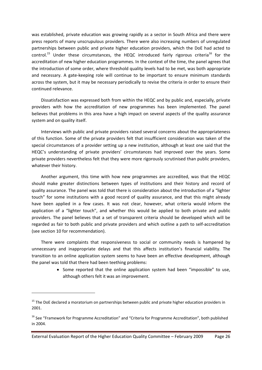was established, private education was growing rapidly as a sector in South Africa and there were press reports of many unscrupulous providers. There were also increasing numbers of unregulated partnerships between public and private higher education providers, which the DoE had acted to control.<sup>15</sup> Under these circumstances, the HEQC introduced fairly rigorous criteria<sup>16</sup> for the accreditation of new higher education programmes. In the context of the time, the panel agrees that the introduction of some order, where threshold quality levels had to be met, was both appropriate and necessary. A gate-keeping role will continue to be important to ensure minimum standards across the system, but it may be necessary periodically to revise the criteria in order to ensure their continued relevance.

Dissatisfaction was expressed both from within the HEQC and by public and, especially, private providers with how the accreditation of new programmes has been implemented. The panel believes that problems in this area have a high impact on several aspects of the quality assurance system and on quality itself.

Interviews with public and private providers raised several concerns about the appropriateness of this function. Some of the private providers felt that insufficient consideration was taken of the special circumstances of a provider setting up a new institution, although at least one said that the HEQC's understanding of private providers' circumstances had improved over the years. Some private providers nevertheless felt that they were more rigorously scrutinised than public providers, whatever their history.

Another argument, this time with how new programmes are accredited, was that the HEQC should make greater distinctions between types of institutions and their history and record of quality assurance. The panel was told that there is consideration about the introduction of a "lighter touch" for some institutions with a good record of quality assurance, and that this might already have been applied in a few cases. It was not clear, however, what criteria would inform the application of a "lighter touch", and whether this would be applied to both private and public providers. The panel believes that a set of transparent criteria should be developed which will be regarded as fair to both public and private providers and which outline a path to self‐accreditation (see section 10 for recommendation).

There were complaints that responsiveness to social or community needs is hampered by unnecessary and inappropriate delays and that this affects institution's financial viability. The transition to an online application system seems to have been an effective development, although the panel was told that there had been teething problems:

> • Some reported that the online application system had been "impossible" to use, although others felt it was an improvement.

<u> Andreas Andreas Andreas Andreas Andreas Andreas Andreas Andreas Andreas Andreas Andreas Andreas Andreas Andreas</u>

External Evaluation Report of the Higher Education Quality Committee – February 2009 Page 26

<sup>&</sup>lt;sup>15</sup> The DoE declared a moratorium on partnerships between public and private higher education providers in 2001.

<sup>&</sup>lt;sup>16</sup> See "Framework for Programme Accreditation" and "Criteria for Programme Accreditation", both published in 2004.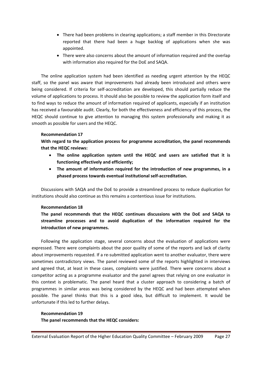- There had been problems in clearing applications; a staff member in this Directorate reported that there had been a huge backlog of applications when she was appointed.
- There were also concerns about the amount of information required and the overlap with information also required for the DoE and SAQA.

The online application system had been identified as needing urgent attention by the HEQC staff, so the panel was aware that improvements had already been introduced and others were being considered. If criteria for self-accreditation are developed, this should partially reduce the volume of applications to process. It should also be possible to review the application form itself and to find ways to reduce the amount of information required of applicants, especially if an institution has received a favourable audit. Clearly, for both the effectiveness and efficiency of this process, the HEQC should continue to give attention to managing this system professionally and making it as smooth as possible for users and the HEQC.

#### **Recommendation 17**

**With regard to the application process for programme accreditation, the panel recommends that the HEQC reviews:** 

- **The online application system until the HEQC and users are satisfied that it is functioning effectively and efficiently;**
- **The amount of information required for the introduction of new programmes, in a phased process towards eventual institutional self‐accreditation.**

Discussions with SAQA and the DoE to provide a streamlined process to reduce duplication for institutions should also continue as this remains a contentious issue for institutions.

#### **Recommendation 18**

**The panel recommends that the HEQC continues discussions with the DoE and SAQA to streamline processes and to avoid duplication of the information required for the introduction of new programmes.** 

Following the application stage, several concerns about the evaluation of applications were expressed. There were complaints about the poor quality of some of the reports and lack of clarity about improvements requested. If a re‐submitted application went to another evaluator, there were sometimes contradictory views. The panel reviewed some of the reports highlighted in interviews and agreed that, at least in these cases, complaints were justified. There were concerns about a competitor acting as a programme evaluator and the panel agrees that relying on one evaluator in this context is problematic. The panel heard that a cluster approach to considering a batch of programmes in similar areas was being considered by the HEQC and had been attempted when possible. The panel thinks that this is a good idea, but difficult to implement. It would be unfortunate if this led to further delays.

#### **Recommendation 19 The panel recommends that the HEQC considers:**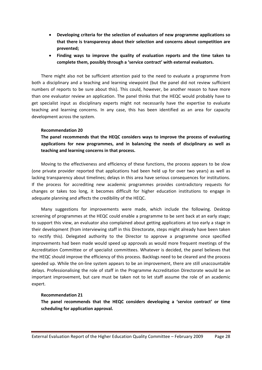- **Developing criteria for the selection of evaluators of new programme applications so that there is transparency about their selection and concerns about competition are prevented;**
- **Finding ways to improve the quality of evaluation reports and the time taken to complete them, possibly through a 'service contract' with external evaluators.**

There might also not be sufficient attention paid to the need to evaluate a programme from both a disciplinary and a teaching and learning viewpoint (but the panel did not review sufficient numbers of reports to be sure about this). This could, however, be another reason to have more than one evaluator review an application. The panel thinks that the HEQC would probably have to get specialist input as disciplinary experts might not necessarily have the expertise to evaluate teaching and learning concerns. In any case, this has been identified as an area for capacity development across the system.

#### **Recommendation 20**

**The panel recommends that the HEQC considers ways to improve the process of evaluating applications for new programmes, and in balancing the needs of disciplinary as well as teaching and learning concerns in that process.**

Moving to the effectiveness and efficiency of these functions, the process appears to be slow (one private provider reported that applications had been held up for over two years) as well as lacking transparency about timelines; delays in this area have serious consequences for institutions. If the process for accrediting new academic programmes provides contradictory requests for changes or takes too long, it becomes difficult for higher education institutions to engage in adequate planning and affects the credibility of the HEQC.

Many suggestions for improvements were made, which include the following. Desktop screening of programmes at the HEQC could enable a programme to be sent back at an early stage; to support this view, an evaluator also complained about getting applications at too early a stage in their development (from interviewing staff in this Directorate, steps might already have been taken to rectify this). Delegated authority to the Director to approve a programme once specified improvements had been made would speed up approvals as would more frequent meetings of the Accreditation Committee or of specialist committees. Whatever is decided, the panel believes that the HEQC should improve the efficiency of this process. Backlogs need to be cleared and the process speeded up. While the on-line system appears to be an improvement, there are still unaccountable delays. Professionalising the role of staff in the Programme Accreditation Directorate would be an important improvement, but care must be taken not to let staff assume the role of an academic expert.

#### **Recommendation 21**

**The panel recommends that the HEQC considers developing a 'service contract' or time scheduling for application approval.**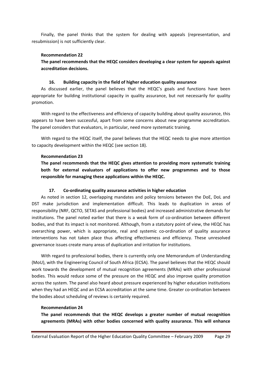Finally, the panel thinks that the system for dealing with appeals (representation, and resubmission) is not sufficiently clear.

#### **Recommendation 22**

**The panel recommends that the HEQC considers developing a clear system for appeals against accreditation decisions.**

#### **16. Building capacity in the field of higher education quality assurance**

As discussed earlier, the panel believes that the HEQC's goals and functions have been appropriate for building institutional capacity in quality assurance, but not necessarily for quality promotion.

With regard to the effectiveness and efficiency of capacity building about quality assurance, this appears to have been successful, apart from some concerns about new programme accreditation. The panel considers that evaluators, in particular, need more systematic training.

With regard to the HEQC itself, the panel believes that the HEQC needs to give more attention to capacity development within the HEQC (see section 18).

#### **Recommendation 23**

**The panel recommends that the HEQC gives attention to providing more systematic training both for external evaluators of applications to offer new programmes and to those responsible for managing these applications within the HEQC.** 

#### **17. Co‐ordinating quality assurance activities in higher education**

As noted in section 12, overlapping mandates and policy tensions between the DoE, DoL and DST make jurisdiction and implementation difficult. This leads to duplication in areas of responsibility (NRF, QCTO, SETAS and professional bodies) and increased administrative demands for institutions. The panel noted earlier that there is a weak form of co-ordination between different bodies, and that its impact is not monitored. Although, from a statutory point of view, the HEQC has overarching power, which is appropriate, real and systemic co-ordination of quality assurance interventions has not taken place thus affecting effectiveness and efficiency. These unresolved governance issues create many areas of duplication and irritation for institutions.

With regard to professional bodies, there is currently only one Memorandum of Understanding (MoU), with the Engineering Council of South Africa (ECSA). The panel believes that the HEQC should work towards the development of mutual recognition agreements (MRAs) with other professional bodies. This would reduce some of the pressure on the HEQC and also improve quality promotion across the system. The panel also heard about pressure experienced by higher education institutions when they had an HEQC and an ECSA accreditation at the same time. Greater co-ordination between the bodies about scheduling of reviews is certainly required.

#### **Recommendation 24**

**The panel recommends that the HEQC develops a greater number of mutual recognition agreements (MRAs) with other bodies concerned with quality assurance. This will enhance**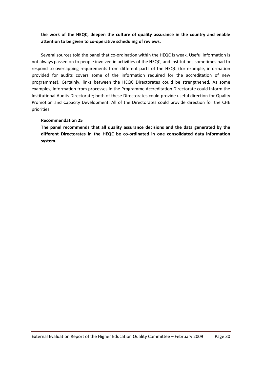#### **the work of the HEQC, deepen the culture of quality assurance in the country and enable attention to be given to co‐operative scheduling of reviews.**

Several sources told the panel that co-ordination within the HEQC is weak. Useful information is not always passed on to people involved in activities of the HEQC, and institutions sometimes had to respond to overlapping requirements from different parts of the HEQC (for example, information provided for audits covers some of the information required for the accreditation of new programmes). Certainly, links between the HEQC Directorates could be strengthened. As some examples, information from processes in the Programme Accreditation Directorate could inform the Institutional Audits Directorate; both of these Directorates could provide useful direction for Quality Promotion and Capacity Development. All of the Directorates could provide direction for the CHE priorities.

#### **Recommendation 25**

**The panel recommends that all quality assurance decisions and the data generated by the different Directorates in the HEQC be co‐ordinated in one consolidated data information system.**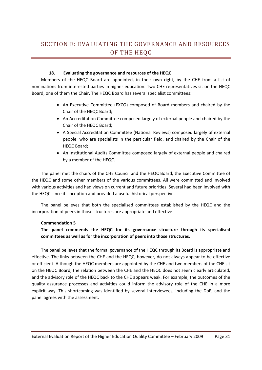## SECTION E: EVALUATING THE GOVERNANCE AND RESOURCES OF THE HEQC

#### **18. Evaluating the governance and resources of the HEQC**

Members of the HEQC Board are appointed, in their own right, by the CHE from a list of nominations from interested parties in higher education. Two CHE representatives sit on the HEQC Board, one of them the Chair. The HEQC Board has several specialist committees:

- An Executive Committee (EXCO) composed of Board members and chaired by the Chair of the HEQC Board;
- An Accreditation Committee composed largely of external people and chaired by the Chair of the HEQC Board;
- A Special Accreditation Committee (National Reviews) composed largely of external people, who are specialists in the particular field, and chaired by the Chair of the HEQC Board;
- An Institutional Audits Committee composed largely of external people and chaired by a member of the HEQC.

The panel met the chairs of the CHE Council and the HEQC Board, the Executive Committee of the HEQC and some other members of the various committees. All were committed and involved with various activities and had views on current and future priorities. Several had been involved with the HEQC since its inception and provided a useful historical perspective.

The panel believes that both the specialised committees established by the HEQC and the incorporation of peers in those structures are appropriate and effective.

#### **Commendation 5**

**The panel commends the HEQC for its governance structure through its specialised committees as well as for the incorporation of peers into those structures.** 

The panel believes that the formal governance of the HEQC through its Board is appropriate and effective. The links between the CHE and the HEQC, however, do not always appear to be effective or efficient. Although the HEQC members are appointed by the CHE and two members of the CHE sit on the HEQC Board, the relation between the CHE and the HEQC does not seem clearly articulated, and the advisory role of the HEQC back to the CHE appears weak. For example, the outcomes of the quality assurance processes and activities could inform the advisory role of the CHE in a more explicit way. This shortcoming was identified by several interviewees, including the DoE, and the panel agrees with the assessment.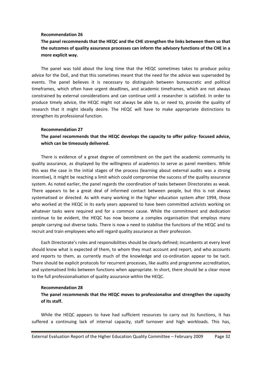#### **Recommendation 26**

**The panel recommends that the HEQC and the CHE strengthen the links between them so that the outcomes of quality assurance processes can inform the advisory functions of the CHE in a more explicit way.**

The panel was told about the long time that the HEQC sometimes takes to produce policy advice for the DoE, and that this sometimes meant that the need for the advice was superseded by events. The panel believes it is necessary to distinguish between bureaucratic and political timeframes, which often have urgent deadlines, and academic timeframes, which are not always constrained by external considerations and can continue until a researcher is satisfied. In order to produce timely advice, the HEQC might not always be able to, or need to, provide the quality of research that it might ideally desire. The HEQC will have to make appropriate distinctions to strengthen its professional function.

#### **Recommendation 27**

**The panel recommends that the HEQC develops the capacity to offer policy‐ focused advice, which can be timeously delivered.**

There is evidence of a great degree of commitment on the part the academic community to quality assurance, as displayed by the willingness of academics to serve as panel members. While this was the case in the initial stages of the process (learning about external audits was a strong incentive), it might be reaching a limit which could compromise the success of the quality assurance system. As noted earlier, the panel regards the coordination of tasks between Directorates as weak. There appears to be a great deal of informed contact between people, but this is not always systematised or directed. As with many working in the higher education system after 1994, those who worked at the HEQC in its early years appeared to have been committed activists working on whatever tasks were required and for a common cause. While the commitment and dedication continue to be evident, the HEQC has now become a complex organisation that employs many people carrying out diverse tasks. There is now a need to stabilise the functions of the HEQC and to recruit and train employees who will regard quality assurance as their profession.

Each Directorate's roles and responsibilities should be clearly defined; incumbents at every level should know what is expected of them, to whom they must account and report, and who accounts and reports to them, as currently much of the knowledge and co-ordination appear to be tacit. There should be explicit protocols for recurrent processes, like audits and programme accreditation, and systematised links between functions when appropriate. In short, there should be a clear move to the full professionalisation of quality assurance within the HEQC.

#### **Recommendation 28**

#### **The panel recommends that the HEQC moves to professionalise and strengthen the capacity of its staff.**

While the HEQC appears to have had sufficient resources to carry out its functions, it has suffered a continuing lack of internal capacity, staff turnover and high workloads. This has,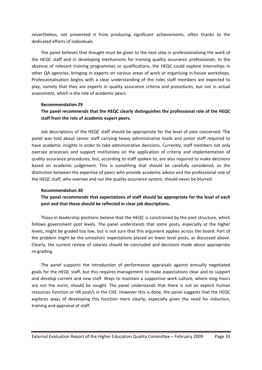nevertheless, not prevented it from producing significant achievements, often thanks to the dedicated efforts of individuals.

The panel believes that thought must be given to the next step in professionalising the work of the HEQC staff and in developing mechanisms for training quality assurance professionals. In the absence of relevant training programmes or qualifications, the HEQC could explore internships in other QA agencies, bringing in experts on various areas of work or organising in‐house workshops. Professionalisation begins with a clear understanding of the roles staff members are expected to play, namely that they are experts in quality assurance criteria and procedures, but not in actual assessment, which is the role of academic peers.

#### **Recommendation 29**

#### **The panel recommends that the HEQC clearly distinguishes the professional role of the HEQC staff from the role of academic expert peers.**

Job descriptions of the HEQC staff should be appropriate for the level of post concerned. The panel was told about senior staff carrying heavy administrative loads and junior staff required to have academic insights in order to take administrative decisions. Currently, staff members not only oversee processes and support institutions on the application of criteria and implementation of quality assurance procedures, but, according to staff spoken to, are also required to make decisions based on academic judgement. This is something that should be carefully considered, as the distinction between the expertise of peers who provide academic advice and the professional role of the HEQC staff, who oversee and run the quality assurance system, should never be blurred.

#### **Recommendation 30**

**The panel recommends that expectations of staff should be appropriate for the level of each post and that these should be reflected in clear job descriptions.**

Those in leadership positions believe that the HEQC is constrained by the post structure, which follows government post levels. The panel understands that some posts, especially at the higher levels, might be graded too low, but is not sure that this argument applies across the board. Part of the problem might be the unrealistic expectations placed on lower level posts, as discussed above. Clearly, the current review of salaries should be concluded and decisions made about appropriate re‐grading.

The panel supports the introduction of performance appraisals against annually negotiated goals for the HEQC staff, but this requires management to make expectations clear and to support and develop current and new staff. Ways to maintain a supportive work culture, where long hours are not the norm, should be sought. The panel understands that there is not an explicit human resources function or HR post/s in the CHE. However this is done, the panel suggests that the HEQC explores ways of developing this function more clearly, especially given the need for induction, training and appraisal of staff.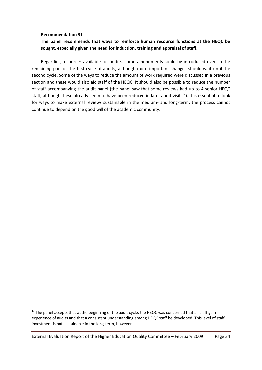#### **Recommendation 31**

<u> Andreas Andreas Andreas Andreas Andreas Andreas Andreas Andreas Andreas Andreas Andreas Andreas Andreas Andreas</u>

#### **The panel recommends that ways to reinforce human resource functions at the HEQC be sought, especially given the need for induction, training and appraisal of staff.**

Regarding resources available for audits, some amendments could be introduced even in the remaining part of the first cycle of audits, although more important changes should wait until the second cycle. Some of the ways to reduce the amount of work required were discussed in a previous section and these would also aid staff of the HEQC. It should also be possible to reduce the number of staff accompanying the audit panel (the panel saw that some reviews had up to 4 senior HEQC staff, although these already seem to have been reduced in later audit visits<sup>17</sup>). It is essential to look for ways to make external reviews sustainable in the medium- and long-term; the process cannot continue to depend on the good will of the academic community.

External Evaluation Report of the Higher Education Quality Committee – February 2009 Page 34

<sup>&</sup>lt;sup>17</sup> The panel accepts that at the beginning of the audit cycle, the HEQC was concerned that all staff gain experience of audits and that a consistent understanding among HEQC staff be developed. This level of staff investment is not sustainable in the long-term, however.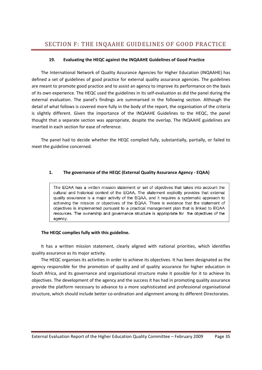#### **19. Evaluating the HEQC against the INQAAHE Guidelines of Good Practice**

The International Network of Quality Assurance Agencies for Higher Education (INQAAHE) has defined a set of guidelines of good practice for external quality assurance agencies. The guidelines are meant to promote good practice and to assist an agency to improve its performance on the basis of its own experience. The HEQC used the guidelines in its self‐evaluation as did the panel during the external evaluation. The panel's findings are summarised in the following section. Although the detail of what follows is covered more fully in the body of the report, the organisation of the criteria is slightly different. Given the importance of the INQAAHE Guidelines to the HEQC, the panel thought that a separate section was appropriate, despite the overlap. The INQAAHE guidelines are inserted in each section for ease of reference.

The panel had to decide whether the HEQC complied fully, substantially, partially, or failed to meet the guideline concerned.

#### **1. The governance of the HEQC (External Quality Assurance Agency ‐ EQAA)**

The EQAA has a written mission statement or set of objectives that takes into account the cultural and historical context of the EQAA. The statement explicitly provides that external quality assurance is a major activity of the EQAA, and it requires a systematic approach to achieving the mission or objectives of the EQAA. There is evidence that the statement of objectives is implemented pursuant to a practical management plan that is linked to EQAA resources. The ownership and governance structure is appropriate for the objectives of the agency.

#### **The HEQC complies fully with this guideline.**

It has a written mission statement, clearly aligned with national priorities, which identifies quality assurance as its major activity.

The HEQC organises its activities in order to achieve its objectives. It has been designated as the agency responsible for the promotion of quality and of quality assurance for higher education in South Africa, and its governance and organisational structure make it possible for it to achieve its objectives. The development of the agency and the success it has had in promoting quality assurance provide the platform necessary to advance to a more sophisticated and professional organisational structure, which should include better co-ordination and alignment among its different Directorates.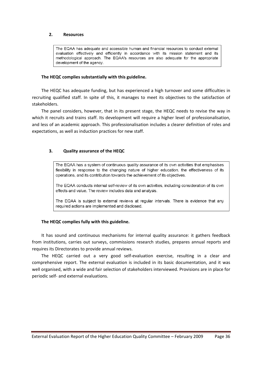#### **2. Resources**

The EQAA has adequate and accessible human and financial resources to conduct external evaluation effectively and efficiently in accordance with its mission statement and its methodological approach. The EQAA's resources are also adequate for the appropriate development of the agency.

#### **The HEQC complies substantially with this guideline.**

The HEQC has adequate funding, but has experienced a high turnover and some difficulties in recruiting qualified staff. In spite of this, it manages to meet its objectives to the satisfaction of stakeholders.

The panel considers, however, that in its present stage, the HEQC needs to revise the way in which it recruits and trains staff. Its development will require a higher level of professionalisation, and less of an academic approach. This professionalisation includes a clearer definition of roles and expectations, as well as induction practices for new staff.

#### **3. Quality assurance of the HEQC**

The EQAA has a system of continuous quality assurance of its own activities that emphasises flexibility in response to the changing nature of higher education, the effectiveness of its operations, and its contribution towards the achievement of its objectives.

The EQAA conducts internal self-review of its own activities, including consideration of its own effects and value. The review includes data and analysis.

The EQAA is subject to external reviews at regular intervals. There is evidence that any required actions are implemented and disclosed.

#### **The HEQC complies fully with this guideline.**

It has sound and continuous mechanisms for internal quality assurance: it gathers feedback from institutions, carries out surveys, commissions research studies, prepares annual reports and requires its Directorates to provide annual reviews.

The HEQC carried out a very good self-evaluation exercise, resulting in a clear and comprehensive report. The external evaluation is included in its basic documentation, and it was well organised, with a wide and fair selection of stakeholders interviewed. Provisions are in place for periodic self‐ and external evaluations.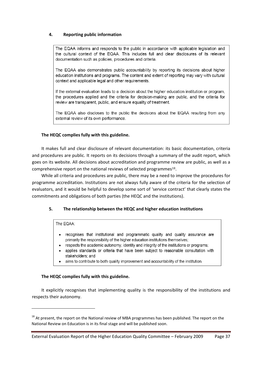#### **4. Reporting public information**

The EQAA informs and responds to the public in accordance with applicable legislation and the cultural context of the EQAA. This includes full and clear disclosures of its relevant documentation such as policies, procedures and criteria.

The EQAA also demonstrates public accountability by reporting its decisions about higher education institutions and programs. The content and extent of reporting may vary with cultural context and applicable legal and other requirements.

If the external evaluation leads to a decision about the higher education institution or program, the procedures applied and the criteria for decision-making are public, and the criteria for review are transparent, public, and ensure equality of treatment.

The EQAA also discloses to the public the decisions about the EQAA resulting from any external review of its own performance.

#### **The HEQC complies fully with this guideline.**

It makes full and clear disclosure of relevant documentation: its basic documentation, criteria and procedures are public. It reports on its decisions through a summary of the audit report, which goes on its website. All decisions about accreditation and programme review are public, as well as a comprehensive report on the national reviews of selected programmes<sup>18</sup>.

While all criteria and procedures are public, there may be a need to improve the procedures for programme accreditation. Institutions are not always fully aware of the criteria for the selection of evaluators, and it would be helpful to develop some sort of 'service contract' that clearly states the commitments and obligations of both parties (the HEQC and the institutions).

#### **5. The relationship between the HEQC and higher education institutions**

#### The EQAA:

<u> Andreas Andreas Andreas Andreas Andreas Andreas Andreas Andreas Andreas Andreas Andreas Andreas Andreas Andreas</u>

- recognises that institutional and programmatic quality and quality assurance are primarily the responsibility of the higher education institutions themselves:
- respects the academic autonomy, identity and integrity of the institutions or programs;
- applies standards or criteria that have been subject to reasonable consultation with stakeholders; and
- aims to contribute to both quality improvement and accountability of the institution.

#### **The HEQC complies fully with this guideline.**

It explicitly recognises that implementing quality is the responsibility of the institutions and respects their autonomy.

<sup>&</sup>lt;sup>18</sup> At present, the report on the National review of MBA programmes has been published. The report on the National Review on Education is in its final stage and will be published soon.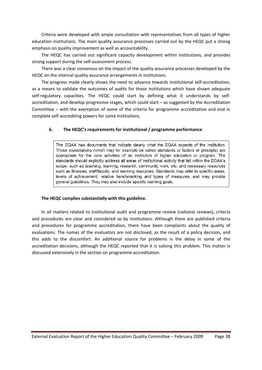Criteria were developed with ample consultation with representatives from all types of higher education institutions. The main quality assurance processes carried out by the HEQC put a strong emphasis on quality improvement as well as accountability.

The HEQC has carried out significant capacity development within institutions, and provides strong support during the self‐assessment process.

There was a clear consensus on the impact of the quality assurance processes developed by the HEQC on the internal quality assurance arrangements in institutions.

The progress made clearly shows the need to advance towards institutional self‐accreditation, as a means to validate the outcomes of audits for those institutions which have shown adequate self-regulatory capacities. The HEQC could start by defining what it understands by selfaccreditation, and develop progressive stages, which could start – as suggested by the Accreditation Committee – with the exemption of some of the criteria for programme accreditation and end in complete self‐accrediting powers for some institutions.

#### **6. The HEQC's requirements for institutional / programme performance**

The EQAA has documents that indicate clearly what the EQAA expects of the institution. Those expectations (which may for example be called standards or factors or precepts) are appropriate for the core activities of an institution of higher education or program. The standards should explicitly address all areas of institutional activity that fall within the EQAA's scope, such as teaching, learning, research. community work, etc. and necessary resources such as finances, staff/faculty, and learning resources. Standards may refer to specific areas, levels of achievement, relative benchmarking and types of measures, and may provide general guidelines. They may also include specific learning goals.

#### **The HEQC complies substantially with this guideline.**

In all matters related to institutional audit and programme review (national reviews), criteria and procedures are clear and considered so by institutions. Although there are published criteria and procedures for programme accreditation, there have been complaints about the quality of evaluations. The names of the evaluators are not disclosed, as the result of a policy decision, and this adds to the discomfort. An additional source for problems is the delay in some of the accreditation decisions, although the HEQC reported that it is solving this problem. This matter is discussed extensively in the section on programme accreditation.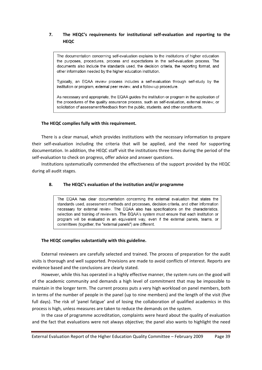#### **7. The HEQC's requirements for institutional self‐evaluation and reporting to the HEQC**

The documentation concerning self-evaluation explains to the institutions of higher education the purposes, procedures, process and expectations in the self-evaluation process. The documents also include the standards used, the decision criteria, the reporting format, and other information needed by the higher education institution.

Typically, an EQAA review process includes a self-evaluation through self-study by the institution or program, external peer review, and a follow-up procedure.

As necessary and appropriate, the EQAA guides the institution or program in the application of the procedures of the quality assurance process, such as self-evaluation, external review, or solicitation of assessment/feedback from the public, students, and other constituents.

#### **The HEQC complies fully with this requirement.**

There is a clear manual, which provides institutions with the necessary information to prepare their self‐evaluation including the criteria that will be applied, and the need for supporting documentation. In addition, the HEQC staff visit the institutions three times during the period of the self‐evaluation to check on progress, offer advice and answer questions.

Institutions systematically commended the effectiveness of the support provided by the HEQC during all audit stages.

#### **8. The HEQC's evaluation of the institution and/or programme**

The EQAA has clear documentation concerning the external evaluation that states the standards used, assessment methods and processes, decision criteria, and other information necessary for external review. The EQAA also has specifications on the characteristics, selection and training of reviewers. The EQAA's system must ensure that each institution or program will be evaluated in an equivalent way, even if the external panels, teams, or committees (together, the "external panels") are different.

#### **The HEQC complies substantially with this guideline.**

External reviewers are carefully selected and trained. The process of preparation for the audit visits is thorough and well supported. Provisions are made to avoid conflicts of interest. Reports are evidence based and the conclusions are clearly stated.

However, while this has operated in a highly effective manner, the system runs on the good will of the academic community and demands a high level of commitment that may be impossible to maintain in the longer term. The current process puts a very high workload on panel members, both in terms of the number of people in the panel (up to nine members) and the length of the visit (five full days). The risk of 'panel fatigue' and of losing the collaboration of qualified academics in this process is high, unless measures are taken to reduce the demands on the system.

In the case of programme accreditation, complaints were heard about the quality of evaluation and the fact that evaluations were not always objective; the panel also wants to highlight the need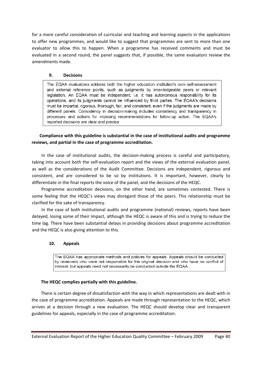for a more careful consideration of curricular and teaching and learning aspects in the applications to offer new programmes, and would like to suggest that programmes are sent to more than one evaluator to allow this to happen. When a programme has received comments and must be evaluated in a second round, the panel suggests that, if possible, the same evaluators review the amendments made.

#### **9. Decisions**

The EQAA evaluations address both the higher education institution's own self-assessment and external reference points, such as judgments by knowledgeable peers or relevant legislation. An EQAA must be independent, i.e. it has autonomous responsibility for its operations, and its judgments cannot be influenced by third parties. The EQAA's decisions must be impartial, rigorous, thorough, fair, and consistent, even if the judgments are made by different panels. Consistency in decision-making includes consistency and transparency in processes and actions for imposing recommendations for follow-up action. The EQAA's reported decisions are clear and precise.

#### **Compliance with this guideline is substantial in the case of institutional audits and programme reviews, and partial in the case of programme accreditation.**

In the case of institutional audits, the decision-making process is careful and participatory, taking into account both the self‐evaluation report and the views of the external evaluation panel, as well as the considerations of the Audit Committee. Decisions are independent, rigorous and consistent, and are considered to be so by institutions. It is important, however, clearly to differentiate in the final reports the voice of the panel, and the decisions of the HEQC.

Programme accreditation decisions, on the other hand, are sometimes contested. There is some feeling that the HEQC's views may disregard those of the peers. This relationship must be clarified for the sake of transparency.

In the case of both institutional audits and programme (national) reviews, reports have been delayed, losing some of their impact, although the HEQC is aware of this and is trying to reduce the time lag. There have been substantial delays in providing decisions about programme accreditation and the HEQC is also giving attention to this.

#### **10. Appeals**

The EQAA has appropriate methods and policies for appeals. Appeals should be conducted by reviewers who were not responsible for the original decision and who have no conflict of interest, but appeals need not necessarily be conducted outside the EQAA.

#### **The HEQC complies partially with this guideline.**

There is certain degree of dissatisfaction with the way in which representations are dealt with in the case of programme accreditation. Appeals are made through representation to the HEQC, which arrives at a decision through a new evaluation. The HEQC should develop clear and transparent guidelines for appeals, especially in the case of programme accreditation.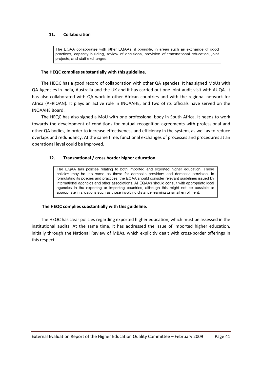#### **11. Collaboration**

The EQAA collaborates with other EQAAs, if possible, in areas such as exchange of good practices, capacity building, review of decisions, provision of transnational education, joint projects, and staff exchanges.

#### **The HEQC complies substantially with this guideline.**

The HEQC has a good record of collaboration with other QA agencies. It has signed MoUs with QA Agencies in India, Australia and the UK and it has carried out one joint audit visit with AUQA. It has also collaborated with QA work in other African countries and with the regional network for Africa (AFRIQAN). It plays an active role in INQAAHE, and two of its officials have served on the INQAAHE Board.

The HEQC has also signed a MoU with one professional body in South Africa. It needs to work towards the development of conditions for mutual recognition agreements with professional and other QA bodies, in order to increase effectiveness and efficiency in the system, as well as to reduce overlaps and redundancy. At the same time, functional exchanges of processes and procedures at an operational level could be improved.

#### **12. Transnational / cross border higher education**

The EQAA has policies relating to both imported and exported higher education. These policies may be the same as those for domestic providers and domestic provision. In formulating its policies and practices, the EQAA should consider relevant guidelines issued by international agencies and other associations. All EQAAs should consult with appropriate local agencies in the exporting or importing countries, although this might not be possible or appropriate in situations such as those involving distance learning or small enrollment.

#### **The HEQC complies substantially with this guideline.**

The HEQC has clear policies regarding exported higher education, which must be assessed in the institutional audits. At the same time, it has addressed the issue of imported higher education, initially through the National Review of MBAs, which explicitly dealt with cross‐border offerings in this respect.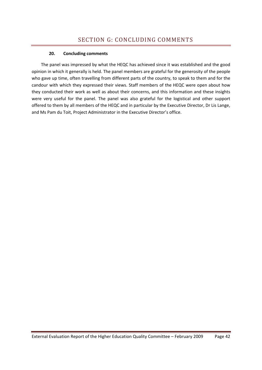#### **20. Concluding comments**

The panel was impressed by what the HEQC has achieved since it was established and the good opinion in which it generally is held. The panel members are grateful for the generosity of the people who gave up time, often travelling from different parts of the country, to speak to them and for the candour with which they expressed their views. Staff members of the HEQC were open about how they conducted their work as well as about their concerns, and this information and these insights were very useful for the panel. The panel was also grateful for the logistical and other support offered to them by all members of the HEQC and in particular by the Executive Director, Dr Lis Lange, and Ms Pam du Toit, Project Administrator in the Executive Director's office.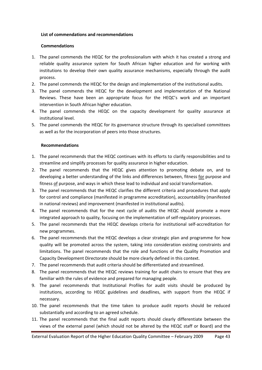#### **List of commendations and recommendations**

#### **Commendations**

- 1. The panel commends the HEQC for the professionalism with which it has created a strong and reliable quality assurance system for South African higher education and for working with institutions to develop their own quality assurance mechanisms, especially through the audit process.
- 2. The panel commends the HEQC for the design and implementation of the institutional audits.
- 3. The panel commends the HEQC for the development and implementation of the National Reviews. These have been an appropriate focus for the HEQC's work and an important intervention in South African higher education.
- 4. The panel commends the HEQC on the capacity development for quality assurance at institutional level.
- 5. The panel commends the HEQC for its governance structure through its specialised committees as well as for the incorporation of peers into those structures.

#### **Recommendations**

- 1. The panel recommends that the HEQC continues with its efforts to clarify responsibilities and to streamline and simplify processes for quality assurance in higher education.
- 2. The panel recommends that the HEQC gives attention to promoting debate on, and to developing a better understanding of the links and differences between, fitness for purpose and fitness of purpose, and ways in which these lead to individual and social transformation.
- 3. The panel recommends that the HEQC clarifies the different criteria and procedures that apply for control and compliance (manifested in programme accreditation), accountability (manifested in national reviews) and improvement (manifested in institutional audits).
- 4. The panel recommends that for the next cycle of audits the HEQC should promote a more integrated approach to quality, focusing on the implementation of self‐regulatory processes.
- 5. The panel recommends that the HEQC develops criteria for institutional self-accreditation for new programmes.
- 6. The panel recommends that the HEQC develops a clear strategic plan and programme for how quality will be promoted across the system, taking into consideration existing constraints and limitations. The panel recommends that the role and functions of the Quality Promotion and Capacity Development Directorate should be more clearly defined in this context.
- 7. The panel recommends that audit criteria should be differentiated and streamlined.
- 8. The panel recommends that the HEQC reviews training for audit chairs to ensure that they are familiar with the rules of evidence and prepared for managing people.
- 9. The panel recommends that Institutional Profiles for audit visits should be produced by institutions, according to HEQC guidelines and deadlines, with support from the HEQC if necessary.
- 10. The panel recommends that the time taken to produce audit reports should be reduced substantially and according to an agreed schedule.
- 11. The panel recommends that the final audit reports should clearly differentiate between the views of the external panel (which should not be altered by the HEQC staff or Board) and the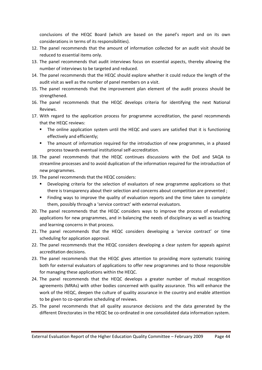conclusions of the HEQC Board (which are based on the panel's report and on its own considerations in terms of its responsibilities).

- 12. The panel recommends that the amount of information collected for an audit visit should be reduced to essential items only.
- 13. The panel recommends that audit interviews focus on essential aspects, thereby allowing the number of interviews to be targeted and reduced.
- 14. The panel recommends that the HEQC should explore whether it could reduce the length of the audit visit as well as the number of panel members on a visit.
- 15. The panel recommends that the improvement plan element of the audit process should be strengthened.
- 16. The panel recommends that the HEQC develops criteria for identifying the next National Reviews.
- 17. With regard to the application process for programme accreditation, the panel recommends that the HEQC reviews:
	- The online application system until the HEQC and users are satisfied that it is functioning effectively and efficiently;
	- The amount of information required for the introduction of new programmes, in a phased process towards eventual institutional self‐accreditation.
- 18. The panel recommends that the HEQC continues discussions with the DoE and SAQA to streamline processes and to avoid duplication of the information required for the introduction of new programmes.
- 19. The panel recommends that the HEQC considers:
	- Developing criteria for the selection of evaluators of new programme applications so that there is transparency about their selection and concerns about competition are prevented ;
	- Finding ways to improve the quality of evaluation reports and the time taken to complete them, possibly through a 'service contract' with external evaluators.
- 20. The panel recommends that the HEQC considers ways to improve the process of evaluating applications for new programmes, and in balancing the needs of disciplinary as well as teaching and learning concerns in that process.
- 21. The panel recommends that the HEQC considers developing a 'service contract' or time scheduling for application approval.
- 22. The panel recommends that the HEQC considers developing a clear system for appeals against accreditation decisions.
- 23. The panel recommends that the HEQC gives attention to providing more systematic training both for external evaluators of applications to offer new programmes and to those responsible for managing these applications within the HEQC.
- 24. The panel recommends that the HEQC develops a greater number of mutual recognition agreements (MRAs) with other bodies concerned with quality assurance. This will enhance the work of the HEQC, deepen the culture of quality assurance in the country and enable attention to be given to co-operative scheduling of reviews.
- 25. The panel recommends that all quality assurance decisions and the data generated by the different Directorates in the HEQC be co-ordinated in one consolidated data information system.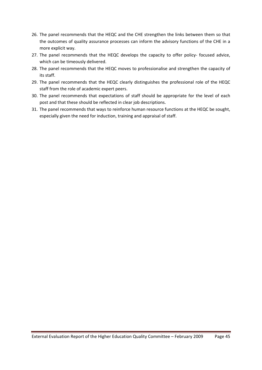- 26. The panel recommends that the HEQC and the CHE strengthen the links between them so that the outcomes of quality assurance processes can inform the advisory functions of the CHE in a more explicit way.
- 27. The panel recommends that the HEQC develops the capacity to offer policy- focused advice, which can be timeously delivered.
- 28. The panel recommends that the HEQC moves to professionalise and strengthen the capacity of its staff.
- 29. The panel recommends that the HEQC clearly distinguishes the professional role of the HEQC staff from the role of academic expert peers.
- 30. The panel recommends that expectations of staff should be appropriate for the level of each post and that these should be reflected in clear job descriptions.
- 31. The panel recommends that ways to reinforce human resource functions at the HEQC be sought, especially given the need for induction, training and appraisal of staff.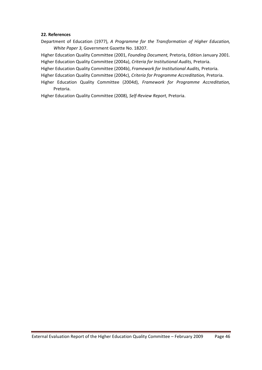#### **22. References**

Department of Education (1977), *A Programme for the Transformation of Higher Education, White Paper 3,* Government Gazette No. 18207.

Higher Education Quality Committee (2001, *Founding Document,* Pretoria, Edition January 2001. Higher Education Quality Committee (2004a), *Criteria for Institutional Audits,* Pretoria.

Higher Education Quality Committee (2004b), *Framework for Institutional Audits,* Pretoria.

Higher Education Quality Committee (2004c), *Criteria for Programme Accreditation,* Pretoria.

Higher Education Quality Committee (2004d), *Framework for Programme Accreditation,* Pretoria.

Higher Education Quality Committee (2008), *Self‐Review Report*, Pretoria.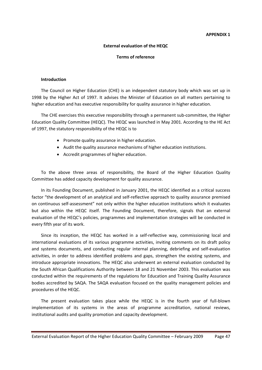#### **APPENDIX 1**

#### **External evaluation of the HEQC**

#### **Terms of reference**

#### **Introduction**

The Council on Higher Education (CHE) is an independent statutory body which was set up in 1998 by the Higher Act of 1997. It advises the Minister of Education on all matters pertaining to higher education and has executive responsibility for quality assurance in higher education.

The CHE exercises this executive responsibility through a permanent sub‐committee, the Higher Education Quality Committee (HEQC). The HEQC was launched in May 2001. According to the HE Act of 1997, the statutory responsibility of the HEQC is to

- Promote quality assurance in higher education.
- Audit the quality assurance mechanisms of higher education institutions.
- Accredit programmes of higher education.

To the above three areas of responsibility, the Board of the Higher Education Quality Committee has added capacity development for quality assurance.

In its Founding Document, published in January 2001, the HEQC identified as a critical success factor "the development of an analytical and self-reflective approach to quality assurance premised on continuous self‐assessment" not only within the higher education institutions which it evaluates but also within the HEQC itself. The Founding Document, therefore, signals that an external evaluation of the HEQC's policies, programmes and implementation strategies will be conducted in every fifth year of its work.

Since its inception, the HEQC has worked in a self-reflective way, commissioning local and international evaluations of its various programme activities, inviting comments on its draft policy and systems documents, and conducting regular internal planning, debriefing and self-evaluation activities, in order to address identified problems and gaps, strengthen the existing systems, and introduce appropriate innovations. The HEQC also underwent an external evaluation conducted by the South African Qualifications Authority between 18 and 21 November 2003. This evaluation was conducted within the requirements of the regulations for Education and Training Quality Assurance bodies accredited by SAQA. The SAQA evaluation focused on the quality management policies and procedures of the HEQC.

The present evaluation takes place while the HEQC is in the fourth year of full‐blown implementation of its systems in the areas of programme accreditation, national reviews, institutional audits and quality promotion and capacity development.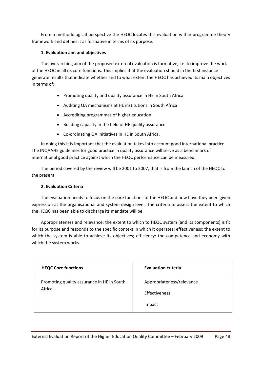From a methodological perspective the HEQC locates this evaluation within programme theory framework and defines it as formative in terms of its purpose.

#### **1. Evaluation aim and objectives**

The overarching aim of the proposed external evaluation is formative, i.e. to improve the work of the HEQC in all its core functions. This implies that the evaluation should in the first instance generate results that indicate whether and to what extent the HEQC has achieved its main objectives in terms of:

- Promoting quality and quality assurance in HE in South Africa
- Auditing QA mechanisms at HE institutions in South Africa
- Accrediting programmes of higher education
- Building capacity in the field of HE quality assurance
- Co-ordinating QA initiatives in HE in South Africa.

In doing this it is important that the evaluation takes into account good international practice. The INQAAHE guidelines for good practice in quality assurance will serve as a benchmark of international good practice against which the HEQC performance can be measured.

The period covered by the review will be 2001 to 2007, that is from the launch of the HEQC to the present.

#### **2. Evaluation Criteria**

The evaluation needs to focus on the core functions of the HEQC and how have they been given expression at the organisational and system design level. The criteria to assess the extent to which the HEQC has been able to discharge its mandate will be

Appropriateness and relevance: the extent to which to HEQC system (and its components) is fit for its purpose and responds to the specific context in which it operates; effectiveness: the extent to which the system is able to achieve its objectives; efficiency: the competence and economy with which the system works.

| <b>HEQC Core functions</b>                           | <b>Evaluation criteria</b> |
|------------------------------------------------------|----------------------------|
| Promoting quality assurance in HE in South<br>Africa | Appropriateness/relevance  |
|                                                      | Effectiveness              |
|                                                      | Impact                     |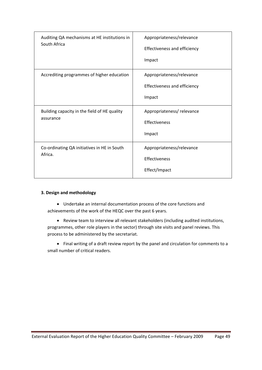| Auditing QA mechanisms at HE institutions in<br>South Africa | Appropriateness/relevance<br><b>Effectiveness and efficiency</b><br>Impact |
|--------------------------------------------------------------|----------------------------------------------------------------------------|
| Accrediting programmes of higher education                   | Appropriateness/relevance<br>Effectiveness and efficiency<br>Impact        |
| Building capacity in the field of HE quality<br>assurance    | Appropriateness/relevance<br>Effectiveness<br>Impact                       |
| Co-ordinating QA initiatives in HE in South<br>Africa.       | Appropriateness/relevance<br>Effectiveness<br>Effect/Impact                |

#### **3. Design and methodology**

 Undertake an internal documentation process of the core functions and achievements of the work of the HEQC over the past 6 years.

 Review team to interview all relevant stakeholders (including audited institutions, programmes, other role players in the sector) through site visits and panel reviews. This process to be administered by the secretariat.

 Final writing of a draft review report by the panel and circulation for comments to a small number of critical readers.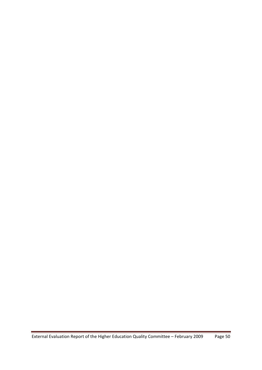External Evaluation Report of the Higher Education Quality Committee – February 2009 Page 50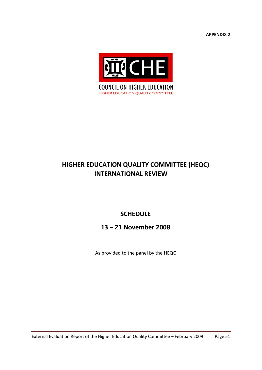**APPENDIX 2**



## **HIGHER EDUCATION QUALITY COMMITTEE (HEQC) INTERNATIONAL REVIEW**

## **SCHEDULE**

**13 – 21 November 2008**

As provided to the panel by the HEQC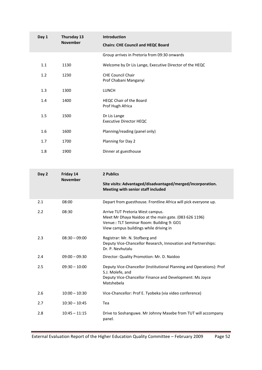| Day 1 | Thursday 13<br><b>November</b> | <b>Introduction</b><br><b>Chairs: CHE Council and HEQC Board</b> |
|-------|--------------------------------|------------------------------------------------------------------|
|       |                                | Group arrives in Pretoria from 09:30 onwards                     |
| 1.1   | 1130                           | Welcome by Dr Lis Lange, Executive Director of the HEQC          |
| 1.2   | 1230                           | <b>CHE Council Chair</b><br>Prof Chabani Manganyi                |
| 1.3   | 1300                           | <b>LUNCH</b>                                                     |
| 1.4   | 1400                           | <b>HEQC Chair of the Board</b><br>Prof Hugh Africa               |
| 1.5   | 1500                           | Dr Lis Lange<br>Executive Director HEQC                          |
| 1.6   | 1600                           | Planning/reading (panel only)                                    |
| 1.7   | 1700                           | Planning for Day 2                                               |
| 1.8   | 1900                           | Dinner at guesthouse                                             |

| Friday 14<br><b>November</b> | 2 Publics<br>Site visits: Advantaged/disadvantaged/merged/incorporation.<br>Meeting with senior staff included                                                                   |
|------------------------------|----------------------------------------------------------------------------------------------------------------------------------------------------------------------------------|
|                              |                                                                                                                                                                                  |
|                              | Depart from guesthouse. Frontline Africa will pick everyone up.                                                                                                                  |
| 08:30                        | Arrive TUT Pretoria West campus.<br>Meet Mr Dhaya Naidoo at the main gate. (083 626 1196)<br>Venue:: TLT Seminar Room: Building 9: GO1<br>View campus buildings while driving in |
| $08:30 - 09:00$              | Registrar: Mr. N. Stofberg and<br>Deputy Vice-Chancellor Research, Innovation and Partnerships:<br>Dr. P. Nevhutalu                                                              |
| $09:00 - 09:30$              | Director: Quality Promotion: Mr. D. Naidoo                                                                                                                                       |
| $09:30 - 10:00$              | Deputy Vice-Chancellor (Institutional Planning and Operations): Prof<br>S.J. Molefe, and<br>Deputy Vice-Chancellor Finance and Development: Ms Joyce<br>Matshebela               |
| $10:00 - 10:30$              | Vice-Chancellor: Prof E. Tyobeka (via video conference)                                                                                                                          |
| $10:30 - 10:45$              | Tea                                                                                                                                                                              |
| $10:45 - 11:15$              | Drive to Soshanguwe. Mr Johnny Masebe from TUT will accompany<br>panel.                                                                                                          |
|                              | 08:00                                                                                                                                                                            |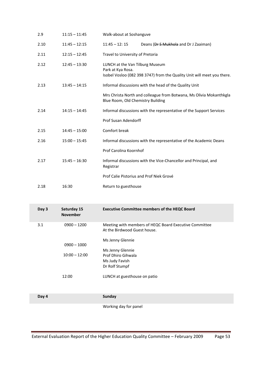| 2.9   | $11:15 - 11:45$                  | Walk-about at Soshanguve                                                                                                        |
|-------|----------------------------------|---------------------------------------------------------------------------------------------------------------------------------|
| 2.10  | $11:45 - 12:15$                  | $11:45 - 12:15$<br>Deans (Dr S Mukhola and Dr J Zaaiman)                                                                        |
| 2.11  | $12:15 - 12:45$                  | Travel to University of Pretoria                                                                                                |
| 2.12  | $12:45 - 13:30$                  | LUNCH at the Van Tilburg Museum<br>Park at Kya Rosa.<br>Isobel Vosloo (082 398 3747) from the Quality Unit will meet you there. |
| 2.13  | $13:45 - 14:15$                  | Informal discussions with the head of the Quality Unit                                                                          |
|       |                                  | Mrs Christa North and colleague from Botwana, Ms Olivia Mokanthkgla<br>Blue Room, Old Chemistry Building                        |
| 2.14  | $14:15 - 14:45$                  | Informal discussions with the representative of the Support Services                                                            |
|       |                                  | Prof Susan Adendorff                                                                                                            |
| 2.15  | $14:45 - 15:00$                  | Comfort break                                                                                                                   |
| 2.16  | $15:00 - 15:45$                  | Informal discussions with the representative of the Academic Deans                                                              |
|       |                                  | Prof Carolina Koornhof                                                                                                          |
| 2.17  | $15:45 - 16:30$                  | Informal discussions with the Vice-Chancellor and Principal, and<br>Registrar                                                   |
|       |                                  |                                                                                                                                 |
|       |                                  | Prof Calie Pistorius and Prof Niek Grové                                                                                        |
| 2.18  | 16:30                            | Return to guesthouse                                                                                                            |
|       |                                  |                                                                                                                                 |
| Day 3 | Saturday 15<br><b>November</b>   | <b>Executive Committee members of the HEQC Board</b>                                                                            |
| 3.1   | $0900 - 1200$                    | Meeting with members of HEQC Board Executive Committee<br>At the Birdwood Guest house.                                          |
|       |                                  | Ms Jenny Glennie                                                                                                                |
|       | $0900 - 1000$<br>$10:00 - 12:00$ | Ms Jenny Glennie                                                                                                                |
|       |                                  | Prof Dhiro Gihwala<br>Ms Judy Favish<br>Dr Rolf Stumpf                                                                          |
|       | 12:00                            | LUNCH at guesthouse on patio                                                                                                    |
|       |                                  |                                                                                                                                 |
| Day 4 |                                  | <b>Sunday</b>                                                                                                                   |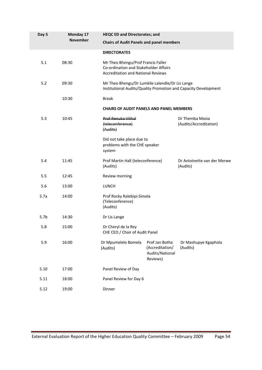| Day 5            | Monday 17       | <b>HEQC ED and Directorates; and</b>                                                                                     |                                                                  |                                                                 |
|------------------|-----------------|--------------------------------------------------------------------------------------------------------------------------|------------------------------------------------------------------|-----------------------------------------------------------------|
|                  | <b>November</b> | <b>Chairs of Audit Panels and panel members</b>                                                                          |                                                                  |                                                                 |
|                  |                 | <b>DIRECTORATES</b>                                                                                                      |                                                                  |                                                                 |
| 5.1              | 08:30           | Mr Theo Bhengu/Prof Francis Faller<br>Co-ordination and Stakeholder Affairs<br><b>Accreditation and National Reviews</b> |                                                                  |                                                                 |
| 5.2              | 09:30           | Mr Theo Bhengu/Dr Lumkile Lalendle/Dr Lis Lange                                                                          |                                                                  | Institutional Audits/Quality Promotion and Capacity Development |
|                  | 10:30           | <b>Break</b>                                                                                                             |                                                                  |                                                                 |
|                  |                 | <b>CHAIRS OF AUDIT PANELS AND PANEL MEMBERS</b>                                                                          |                                                                  |                                                                 |
| 5.3              | 10:45           | Prof Renuka Vithal<br>(teleconference)<br>(Audits)                                                                       |                                                                  | Dr Themba Mosia<br>(Audits/Accreditation)                       |
|                  |                 | Did not take place due to<br>problems with the CHE speaker<br>system                                                     |                                                                  |                                                                 |
| 5.4              | 11:45           | Prof Martin Hall (teleconference)<br>(Audits)                                                                            |                                                                  | Dr Antoinette van der Merwe<br>(Audits)                         |
| 5.5              | 12:45           | Review morning                                                                                                           |                                                                  |                                                                 |
| 5.6              | 13:00           | <b>LUNCH</b>                                                                                                             |                                                                  |                                                                 |
| 5.7a             | 14:00           | Prof Rocky Ralebipi-Simela<br>(Teleconference)<br>(Audits)                                                               |                                                                  |                                                                 |
| 5.7 <sub>b</sub> | 14:30           | Dr Lis Lange                                                                                                             |                                                                  |                                                                 |
| 5.8              | 15:00           | Dr Cheryl de la Rey<br>CHE CEO / Chair of Audit Panel                                                                    |                                                                  |                                                                 |
| 5.9              | 16:00           | Dr Mpumelelo Bomela<br>(Audits)                                                                                          | Prof Jan Botha<br>(Accreditation/<br>Audits/National<br>Reviews) | Dr Mashupye Kgaphola<br>(Audits)                                |
| 5.10             | 17:00           | Panel Review of Day                                                                                                      |                                                                  |                                                                 |
| 5.11             | 18:00           | Panel Review for Day 6                                                                                                   |                                                                  |                                                                 |
| 5.12             | 19:00           | Dinner                                                                                                                   |                                                                  |                                                                 |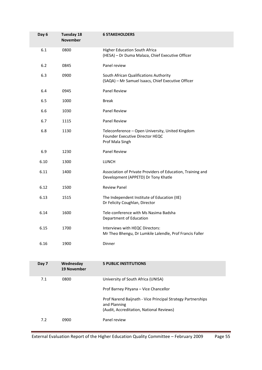| Day 6 | <b>Tuesday 18</b><br><b>November</b> | <b>6 STAKEHOLDERS</b>                                                                                  |
|-------|--------------------------------------|--------------------------------------------------------------------------------------------------------|
| 6.1   | 0800                                 | <b>Higher Education South Africa</b><br>(HESA) - Dr Duma Malaza, Chief Executive Officer               |
| $6.2$ | 0845                                 | Panel review                                                                                           |
| 6.3   | 0900                                 | South African Qualifications Authority<br>(SAQA) - Mr Samuel Isaacs, Chief Executive Officer           |
| 6.4   | 0945                                 | Panel Review                                                                                           |
| 6.5   | 1000                                 | <b>Break</b>                                                                                           |
| 6.6   | 1030                                 | Panel Review                                                                                           |
| 6.7   | 1115                                 | Panel Review                                                                                           |
| 6.8   | 1130                                 | Teleconference - Open University, United Kingdom<br>Founder Executive Director HEQC<br>Prof Mala Singh |
| 6.9   | 1230                                 | Panel Review                                                                                           |
| 6.10  | 1300                                 | <b>LUNCH</b>                                                                                           |
| 6.11  | 1400                                 | Association of Private Providers of Education, Training and<br>Development (APPETD) Dr Tony Khatle     |
| 6.12  | 1500                                 | <b>Review Panel</b>                                                                                    |
| 6.13  | 1515                                 | The Independent Institute of Education (IIE)<br>Dr Felicity Coughlan, Director                         |
| 6.14  | 1600                                 | Tele-conference with Ms Nasima Badsha<br>Department of Education                                       |
| 6.15  | 1700                                 | Interviews with HEQC Directors:<br>Mr Theo Bhengu, Dr Lumkile Lalendle, Prof Francis Faller            |
| 6.16  | 1900                                 | Dinner                                                                                                 |
| Day 7 | Wednesday<br>19 November             | <b>5 PUBLIC INSTITUTIONS</b>                                                                           |
| $7.1$ | 0800                                 | University of South Africa (UNISA)                                                                     |

and Planning

7.2 0900 Panel review

Prof Barney Pityana – Vice Chancellor

(Audit, Accreditation, National Reviews)

Prof Narend Baijnath ‐ Vice Principal Strategy Partnerships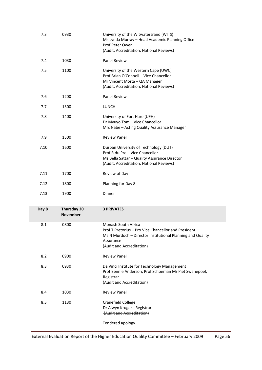| 7.3   | 0930                                  | University of the Witwatersrand (WITS)<br>Ms Lynda Murray - Head Academic Planning Office<br>Prof Peter Owen<br>(Audit, Accreditation, National Reviews)                            |
|-------|---------------------------------------|-------------------------------------------------------------------------------------------------------------------------------------------------------------------------------------|
| 7.4   | 1030                                  | <b>Panel Review</b>                                                                                                                                                                 |
| 7.5   | 1100                                  | University of the Western Cape (UWC)<br>Prof Brian O'Connell - Vice Chancellor<br>Mr Vincent Morta - QA Manager<br>(Audit, Accreditation, National Reviews)                         |
| 7.6   | 1200                                  | <b>Panel Review</b>                                                                                                                                                                 |
| 7.7   | 1300                                  | <b>LUNCH</b>                                                                                                                                                                        |
| 7.8   | 1400                                  | University of Fort Hare (UFH)<br>Dr Mvuyo Tom - Vice Chancellor<br>Mrs Nabe - Acting Quality Assurance Manager                                                                      |
| 7.9   | 1500                                  | <b>Review Panel</b>                                                                                                                                                                 |
| 7.10  | 1600                                  | Durban University of Technology (DUT)<br>Prof R du Pre - Vice Chancellor<br>Ms Bella Sattar - Quality Assurance Director<br>(Audit, Accreditation, National Reviews)                |
| 7.11  | 1700                                  | Review of Day                                                                                                                                                                       |
| 7.12  | 1800                                  | Planning for Day 8                                                                                                                                                                  |
| 7.13  | 1900                                  | Dinner                                                                                                                                                                              |
|       |                                       |                                                                                                                                                                                     |
| Day 8 | <b>Thursday 20</b><br><b>November</b> | <b>3 PRIVATES</b>                                                                                                                                                                   |
| 8.1   | 0800                                  | Monash South Africa<br>Prof T Pretorius - Pro Vice Chancellor and President<br>Ms N Murdoch - Director Institutional Planning and Quality<br>Assurance<br>(Audit and Accreditation) |
| 8.2   | 0900                                  | <b>Review Panel</b>                                                                                                                                                                 |
| 8.3   | 0930                                  | Da Vinci Institute for Technology Management<br>Prof Bennie Anderson, Prof Schoeman-Mr Piet Swanepoel,<br>Registrar<br>(Audit and Accreditation)                                    |
| 8.4   | 1030                                  | <b>Review Panel</b>                                                                                                                                                                 |
| 8.5   | 1130                                  | <b>Cranefield College</b><br>Dr Alwyn Kruger - Registrar<br>(Audit and Accreditation)                                                                                               |